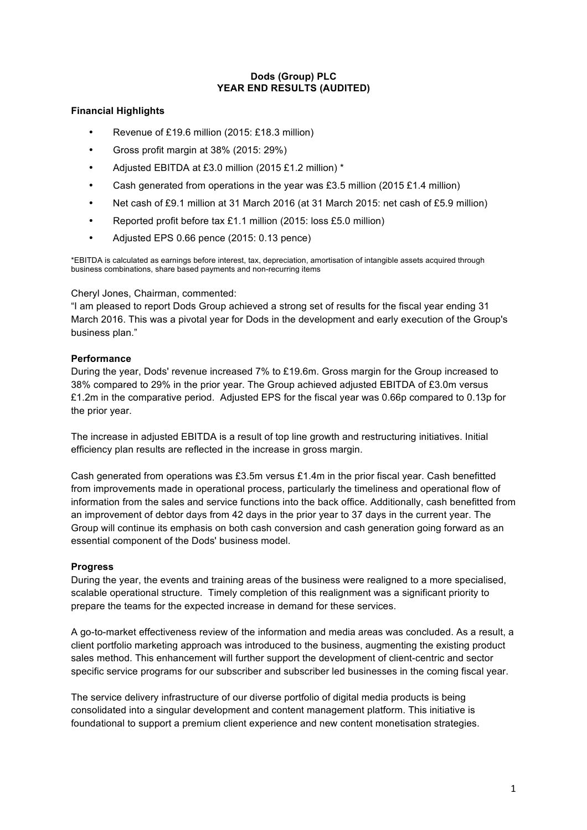# **Dods (Group) PLC YEAR END RESULTS (AUDITED)**

# **Financial Highlights**

- Revenue of £19.6 million (2015: £18.3 million)
- Gross profit margin at 38% (2015: 29%)
- Adjusted EBITDA at £3.0 million (2015 £1.2 million) \*
- Cash generated from operations in the year was £3.5 million (2015 £1.4 million)
- Net cash of £9.1 million at 31 March 2016 (at 31 March 2015: net cash of £5.9 million)
- Reported profit before tax £1.1 million (2015: loss £5.0 million)
- Adjusted EPS 0.66 pence (2015: 0.13 pence)

\*EBITDA is calculated as earnings before interest, tax, depreciation, amortisation of intangible assets acquired through business combinations, share based payments and non-recurring items

# Cheryl Jones, Chairman, commented:

"I am pleased to report Dods Group achieved a strong set of results for the fiscal year ending 31 March 2016. This was a pivotal year for Dods in the development and early execution of the Group's business plan."

# **Performance**

During the year, Dods' revenue increased 7% to £19.6m. Gross margin for the Group increased to 38% compared to 29% in the prior year. The Group achieved adjusted EBITDA of £3.0m versus £1.2m in the comparative period. Adjusted EPS for the fiscal year was 0.66p compared to 0.13p for the prior year.

The increase in adjusted EBITDA is a result of top line growth and restructuring initiatives. Initial efficiency plan results are reflected in the increase in gross margin.

Cash generated from operations was £3.5m versus £1.4m in the prior fiscal year. Cash benefitted from improvements made in operational process, particularly the timeliness and operational flow of information from the sales and service functions into the back office. Additionally, cash benefitted from an improvement of debtor days from 42 days in the prior year to 37 days in the current year. The Group will continue its emphasis on both cash conversion and cash generation going forward as an essential component of the Dods' business model.

# **Progress**

During the year, the events and training areas of the business were realigned to a more specialised, scalable operational structure. Timely completion of this realignment was a significant priority to prepare the teams for the expected increase in demand for these services.

A go-to-market effectiveness review of the information and media areas was concluded. As a result, a client portfolio marketing approach was introduced to the business, augmenting the existing product sales method. This enhancement will further support the development of client-centric and sector specific service programs for our subscriber and subscriber led businesses in the coming fiscal year.

The service delivery infrastructure of our diverse portfolio of digital media products is being consolidated into a singular development and content management platform. This initiative is foundational to support a premium client experience and new content monetisation strategies.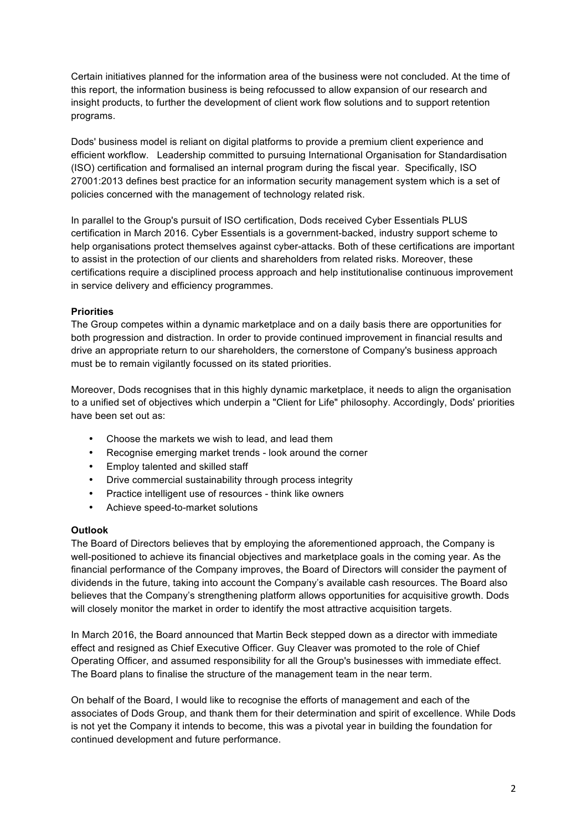Certain initiatives planned for the information area of the business were not concluded. At the time of this report, the information business is being refocussed to allow expansion of our research and insight products, to further the development of client work flow solutions and to support retention programs.

Dods' business model is reliant on digital platforms to provide a premium client experience and efficient workflow. Leadership committed to pursuing International Organisation for Standardisation (ISO) certification and formalised an internal program during the fiscal year. Specifically, ISO 27001:2013 defines best practice for an information security management system which is a set of policies concerned with the management of technology related risk.

In parallel to the Group's pursuit of ISO certification, Dods received Cyber Essentials PLUS certification in March 2016. Cyber Essentials is a government-backed, industry support scheme to help organisations protect themselves against cyber-attacks. Both of these certifications are important to assist in the protection of our clients and shareholders from related risks. Moreover, these certifications require a disciplined process approach and help institutionalise continuous improvement in service delivery and efficiency programmes.

# **Priorities**

The Group competes within a dynamic marketplace and on a daily basis there are opportunities for both progression and distraction. In order to provide continued improvement in financial results and drive an appropriate return to our shareholders, the cornerstone of Company's business approach must be to remain vigilantly focussed on its stated priorities.

Moreover, Dods recognises that in this highly dynamic marketplace, it needs to align the organisation to a unified set of objectives which underpin a "Client for Life" philosophy. Accordingly, Dods' priorities have been set out as:

- Choose the markets we wish to lead, and lead them
- Recognise emerging market trends look around the corner
- Employ talented and skilled staff
- Drive commercial sustainability through process integrity
- Practice intelligent use of resources think like owners
- Achieve speed-to-market solutions

# **Outlook**

The Board of Directors believes that by employing the aforementioned approach, the Company is well-positioned to achieve its financial objectives and marketplace goals in the coming year. As the financial performance of the Company improves, the Board of Directors will consider the payment of dividends in the future, taking into account the Company's available cash resources. The Board also believes that the Company's strengthening platform allows opportunities for acquisitive growth. Dods will closely monitor the market in order to identify the most attractive acquisition targets.

In March 2016, the Board announced that Martin Beck stepped down as a director with immediate effect and resigned as Chief Executive Officer. Guy Cleaver was promoted to the role of Chief Operating Officer, and assumed responsibility for all the Group's businesses with immediate effect. The Board plans to finalise the structure of the management team in the near term.

On behalf of the Board, I would like to recognise the efforts of management and each of the associates of Dods Group, and thank them for their determination and spirit of excellence. While Dods is not yet the Company it intends to become, this was a pivotal year in building the foundation for continued development and future performance.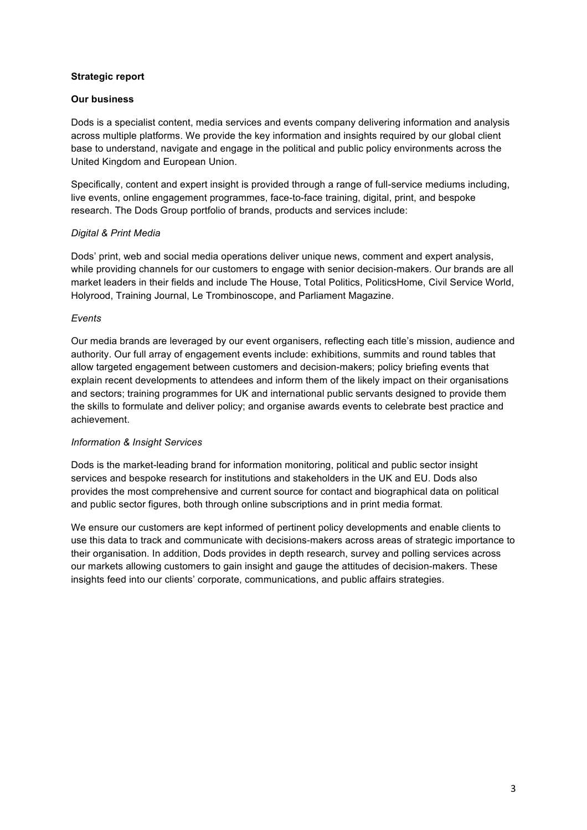# **Strategic report**

# **Our business**

Dods is a specialist content, media services and events company delivering information and analysis across multiple platforms. We provide the key information and insights required by our global client base to understand, navigate and engage in the political and public policy environments across the United Kingdom and European Union.

Specifically, content and expert insight is provided through a range of full-service mediums including, live events, online engagement programmes, face-to-face training, digital, print, and bespoke research. The Dods Group portfolio of brands, products and services include:

# *Digital & Print Media*

Dods' print, web and social media operations deliver unique news, comment and expert analysis, while providing channels for our customers to engage with senior decision-makers. Our brands are all market leaders in their fields and include The House, Total Politics, PoliticsHome, Civil Service World, Holyrood, Training Journal, Le Trombinoscope, and Parliament Magazine.

# *Events*

Our media brands are leveraged by our event organisers, reflecting each title's mission, audience and authority. Our full array of engagement events include: exhibitions, summits and round tables that allow targeted engagement between customers and decision-makers; policy briefing events that explain recent developments to attendees and inform them of the likely impact on their organisations and sectors; training programmes for UK and international public servants designed to provide them the skills to formulate and deliver policy; and organise awards events to celebrate best practice and achievement.

# *Information & Insight Services*

Dods is the market-leading brand for information monitoring, political and public sector insight services and bespoke research for institutions and stakeholders in the UK and EU. Dods also provides the most comprehensive and current source for contact and biographical data on political and public sector figures, both through online subscriptions and in print media format.

We ensure our customers are kept informed of pertinent policy developments and enable clients to use this data to track and communicate with decisions-makers across areas of strategic importance to their organisation. In addition, Dods provides in depth research, survey and polling services across our markets allowing customers to gain insight and gauge the attitudes of decision-makers. These insights feed into our clients' corporate, communications, and public affairs strategies.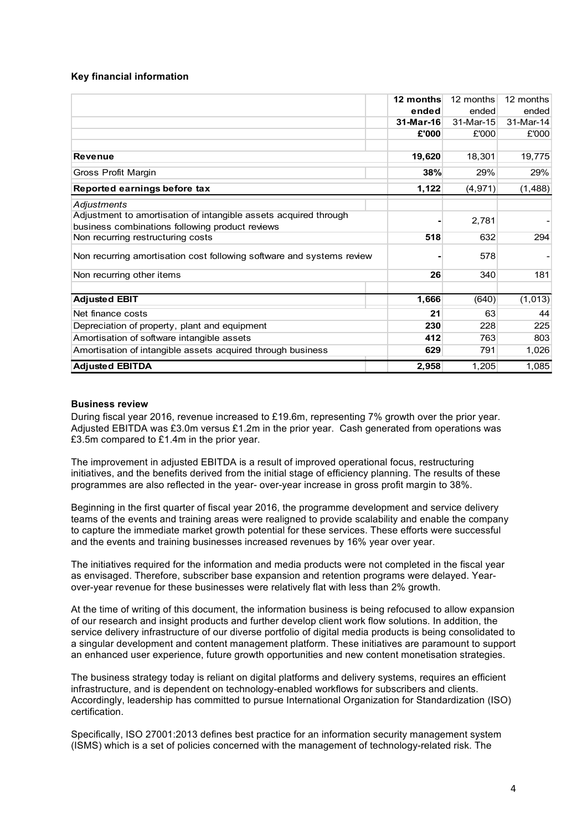# **Key financial information**

|                                                                       | 12 months | 12 months | 12 months |
|-----------------------------------------------------------------------|-----------|-----------|-----------|
|                                                                       | ended     | ended     | ended     |
|                                                                       | 31-Mar-16 | 31-Mar-15 | 31-Mar-14 |
|                                                                       | £'000     | £'000     | £'000     |
|                                                                       |           |           |           |
| <b>Revenue</b>                                                        | 19,620    | 18,301    | 19,775    |
| Gross Profit Margin                                                   | 38%       | 29%       | 29%       |
| Reported earnings before tax                                          | 1,122     | (4, 971)  | (1, 488)  |
| <b>Adjustments</b>                                                    |           |           |           |
| Adjustment to amortisation of intangible assets acquired through      |           | 2,781     |           |
| business combinations following product reviews                       |           |           |           |
| Non recurring restructuring costs                                     | 518       | 632       | 294       |
| Non recurring amortisation cost following software and systems review |           | 578       |           |
| Non recurring other items                                             | 26        | 340       | 181       |
|                                                                       |           |           |           |
| <b>Adjusted EBIT</b>                                                  | 1,666     | (640)     | (1,013)   |
| Net finance costs                                                     | 21        | 63        | 44        |
| Depreciation of property, plant and equipment                         | 230       | 228       | 225       |
| Amortisation of software intangible assets                            | 412       | 763       | 803       |
| Amortisation of intangible assets acquired through business           | 629       | 791       | 1,026     |
| <b>Adjusted EBITDA</b>                                                | 2,958     | 1,205     | 1,085     |

## **Business review**

During fiscal year 2016, revenue increased to £19.6m, representing 7% growth over the prior year. Adjusted EBITDA was £3.0m versus £1.2m in the prior year. Cash generated from operations was £3.5m compared to £1.4m in the prior year.

The improvement in adjusted EBITDA is a result of improved operational focus, restructuring initiatives, and the benefits derived from the initial stage of efficiency planning. The results of these programmes are also reflected in the year- over-year increase in gross profit margin to 38%.

Beginning in the first quarter of fiscal year 2016, the programme development and service delivery teams of the events and training areas were realigned to provide scalability and enable the company to capture the immediate market growth potential for these services. These efforts were successful and the events and training businesses increased revenues by 16% year over year.

The initiatives required for the information and media products were not completed in the fiscal year as envisaged. Therefore, subscriber base expansion and retention programs were delayed. Yearover-year revenue for these businesses were relatively flat with less than 2% growth.

At the time of writing of this document, the information business is being refocused to allow expansion of our research and insight products and further develop client work flow solutions. In addition, the service delivery infrastructure of our diverse portfolio of digital media products is being consolidated to a singular development and content management platform. These initiatives are paramount to support an enhanced user experience, future growth opportunities and new content monetisation strategies.

The business strategy today is reliant on digital platforms and delivery systems, requires an efficient infrastructure, and is dependent on technology-enabled workflows for subscribers and clients. Accordingly, leadership has committed to pursue International Organization for Standardization (ISO) certification.

Specifically, ISO 27001:2013 defines best practice for an information security management system (ISMS) which is a set of policies concerned with the management of technology-related risk. The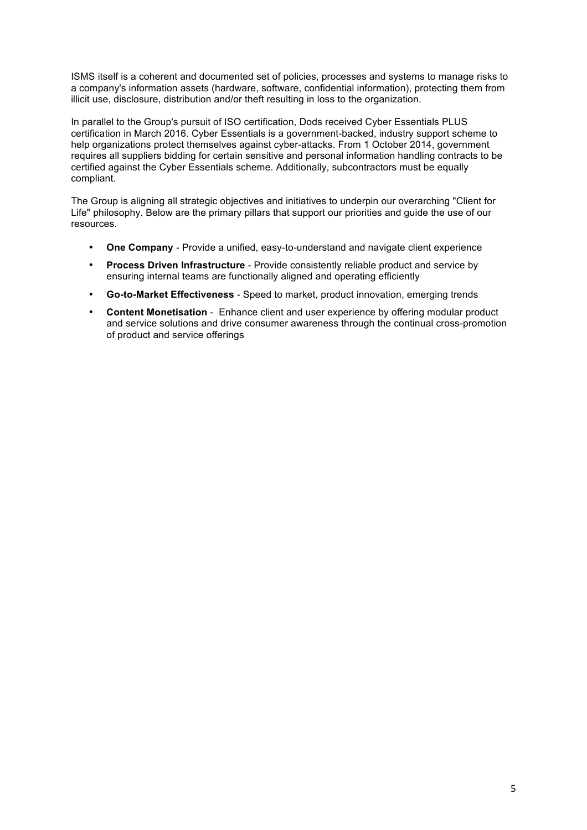ISMS itself is a coherent and documented set of policies, processes and systems to manage risks to a company's information assets (hardware, software, confidential information), protecting them from illicit use, disclosure, distribution and/or theft resulting in loss to the organization.

In parallel to the Group's pursuit of ISO certification, Dods received Cyber Essentials PLUS certification in March 2016. Cyber Essentials is a government-backed, industry support scheme to help organizations protect themselves against cyber-attacks. From 1 October 2014, government requires all suppliers bidding for certain sensitive and personal information handling contracts to be certified against the Cyber Essentials scheme. Additionally, subcontractors must be equally compliant.

The Group is aligning all strategic objectives and initiatives to underpin our overarching "Client for Life" philosophy. Below are the primary pillars that support our priorities and guide the use of our resources.

- **One Company** Provide a unified, easy-to-understand and navigate client experience
- **Process Driven Infrastructure** Provide consistently reliable product and service by ensuring internal teams are functionally aligned and operating efficiently
- **Go-to-Market Effectiveness** Speed to market, product innovation, emerging trends
- **Content Monetisation** Enhance client and user experience by offering modular product and service solutions and drive consumer awareness through the continual cross-promotion of product and service offerings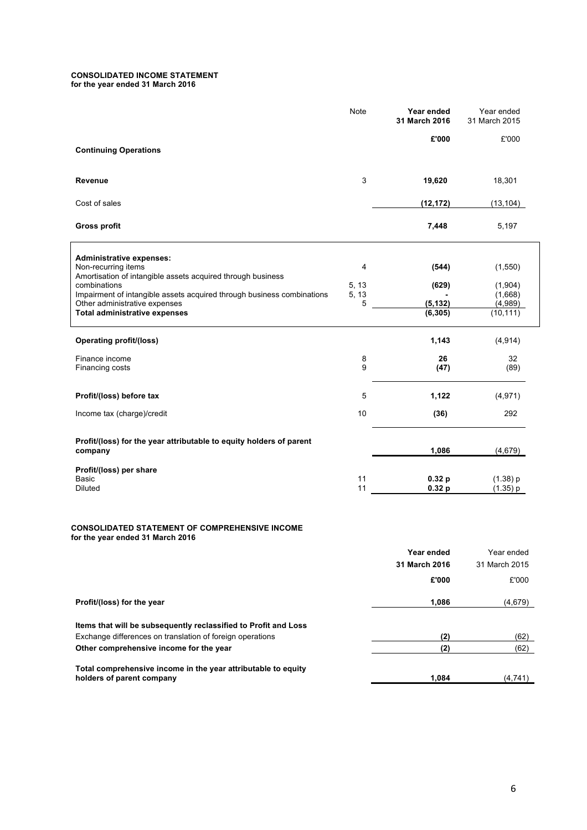### **CONSOLIDATED INCOME STATEMENT for the year ended 31 March 2016**

|                                                                                                                                                                                                                 | Note                | Year ended<br>31 March 2016 | Year ended<br>31 March 2015   |
|-----------------------------------------------------------------------------------------------------------------------------------------------------------------------------------------------------------------|---------------------|-----------------------------|-------------------------------|
| <b>Continuing Operations</b>                                                                                                                                                                                    |                     | £'000                       | £'000                         |
| Revenue                                                                                                                                                                                                         | 3                   | 19,620                      | 18,301                        |
| Cost of sales                                                                                                                                                                                                   |                     | (12, 172)                   | (13, 104)                     |
| <b>Gross profit</b>                                                                                                                                                                                             |                     | 7,448                       | 5,197                         |
| <b>Administrative expenses:</b><br>Non-recurring items<br>Amortisation of intangible assets acquired through business<br>combinations<br>Impairment of intangible assets acquired through business combinations | 4<br>5, 13<br>5, 13 | (544)<br>(629)              | (1,550)<br>(1,904)<br>(1,668) |
| Other administrative expenses<br><b>Total administrative expenses</b>                                                                                                                                           | 5                   | (5, 132)<br>(6, 305)        | (4,989)<br>(10, 111)          |
| <b>Operating profit/(loss)</b>                                                                                                                                                                                  |                     | 1,143                       | (4, 914)                      |
| Finance income<br>Financing costs                                                                                                                                                                               | 8<br>9              | 26<br>(47)                  | 32<br>(89)                    |
| Profit/(loss) before tax                                                                                                                                                                                        | 5                   | 1,122                       | (4,971)                       |
| Income tax (charge)/credit                                                                                                                                                                                      | 10                  | (36)                        | 292                           |
| Profit/(loss) for the year attributable to equity holders of parent<br>company                                                                                                                                  |                     | 1,086                       | (4,679)                       |
| Profit/(loss) per share<br>Basic<br><b>Diluted</b>                                                                                                                                                              | 11<br>11            | 0.32 p<br>0.32 <sub>p</sub> | (1.38) p<br>$(1.35)$ p        |
| <b>CONSOLIDATED STATEMENT OF COMPREHENSIVE INCOME</b><br>for the year ended 31 March 2016                                                                                                                       |                     |                             |                               |
|                                                                                                                                                                                                                 |                     | Year ended<br>31 March 2016 | Year ended<br>31 March 2015   |
|                                                                                                                                                                                                                 |                     | £'000                       | £'000                         |

| 1,086 | (4,679) |
|-------|---------|
|       |         |
| (2)   | (62)    |
| (2)   | (62)    |
| 1.084 | (4,741) |
|       |         |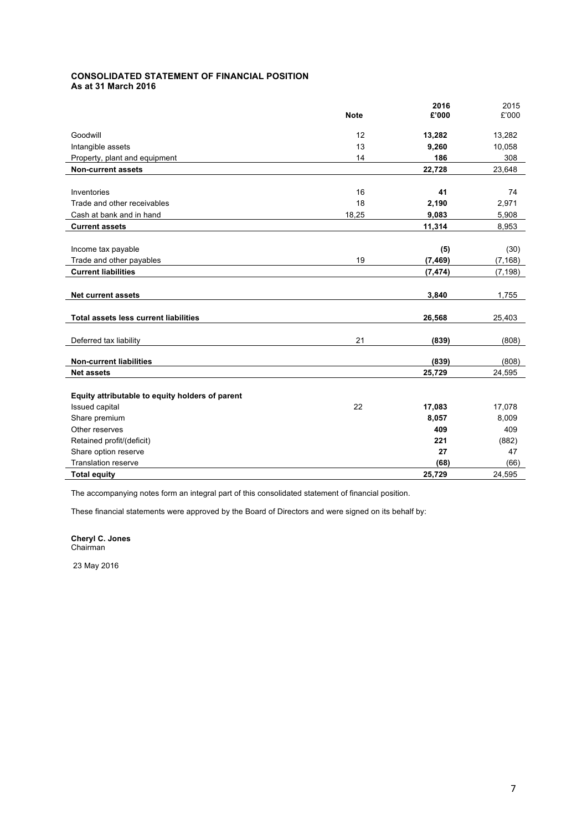## **CONSOLIDATED STATEMENT OF FINANCIAL POSITION As at 31 March 2016**

|                                                 | <b>Note</b> | 2016<br>£'000 | 2015<br>£'000 |
|-------------------------------------------------|-------------|---------------|---------------|
| Goodwill                                        |             |               |               |
|                                                 | 12          | 13,282        | 13,282        |
| Intangible assets                               | 13          | 9,260         | 10,058        |
| Property, plant and equipment                   | 14          | 186           | 308           |
| <b>Non-current assets</b>                       |             | 22,728        | 23,648        |
|                                                 |             |               |               |
| Inventories                                     | 16          | 41            | 74            |
| Trade and other receivables                     | 18          | 2,190         | 2,971         |
| Cash at bank and in hand                        | 18,25       | 9,083         | 5,908         |
| <b>Current assets</b>                           |             | 11,314        | 8,953         |
|                                                 |             |               |               |
| Income tax payable                              |             | (5)           | (30)          |
| Trade and other payables                        | 19          | (7, 469)      | (7, 168)      |
| <b>Current liabilities</b>                      |             | (7, 474)      | (7, 198)      |
|                                                 |             |               |               |
| <b>Net current assets</b>                       |             | 3,840         | 1,755         |
|                                                 |             |               |               |
| <b>Total assets less current liabilities</b>    |             | 26,568        | 25,403        |
|                                                 |             |               |               |
| Deferred tax liability                          | 21          | (839)         | (808)         |
| <b>Non-current liabilities</b>                  |             | (839)         | (808)         |
| <b>Net assets</b>                               |             | 25,729        | 24,595        |
|                                                 |             |               |               |
| Equity attributable to equity holders of parent |             |               |               |
| Issued capital                                  | 22          | 17,083        | 17,078        |
| Share premium                                   |             | 8,057         | 8,009         |
| Other reserves                                  |             | 409           | 409           |
| Retained profit/(deficit)                       |             | 221           | (882)         |
| Share option reserve                            |             | 27            | 47            |
| <b>Translation reserve</b>                      |             | (68)          | (66)          |
|                                                 |             | 25,729        |               |
| <b>Total equity</b>                             |             |               | 24,595        |

The accompanying notes form an integral part of this consolidated statement of financial position.

These financial statements were approved by the Board of Directors and were signed on its behalf by:

**Cheryl C. Jones** Chairman

23 May 2016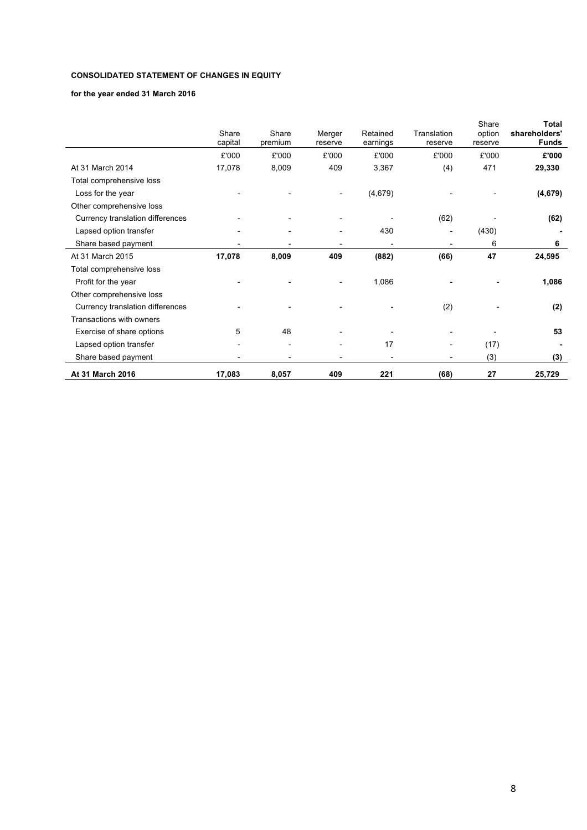# **CONSOLIDATED STATEMENT OF CHANGES IN EQUITY**

**for the year ended 31 March 2016**

|                                  | Share<br>capital | Share<br>premium | Merger<br>reserve | Retained<br>earnings | Translation<br>reserve   | Share<br>option<br>reserve | Total<br>shareholders'<br><b>Funds</b> |
|----------------------------------|------------------|------------------|-------------------|----------------------|--------------------------|----------------------------|----------------------------------------|
|                                  | £'000            | £'000            | £'000             | £'000                | £'000                    | £'000                      | £'000                                  |
| At 31 March 2014                 | 17,078           | 8,009            | 409               | 3,367                | (4)                      | 471                        | 29,330                                 |
| Total comprehensive loss         |                  |                  |                   |                      |                          |                            |                                        |
| Loss for the year                |                  |                  |                   | (4,679)              |                          |                            | (4,679)                                |
| Other comprehensive loss         |                  |                  |                   |                      |                          |                            |                                        |
| Currency translation differences |                  |                  |                   |                      | (62)                     |                            | (62)                                   |
| Lapsed option transfer           |                  |                  |                   | 430                  | $\overline{\phantom{a}}$ | (430)                      |                                        |
| Share based payment              |                  |                  |                   |                      | $\overline{\phantom{0}}$ | 6                          | 6                                      |
| At 31 March 2015                 | 17,078           | 8,009            | 409               | (882)                | (66)                     | 47                         | 24,595                                 |
| Total comprehensive loss         |                  |                  |                   |                      |                          |                            |                                        |
| Profit for the year              |                  |                  |                   | 1,086                |                          |                            | 1,086                                  |
| Other comprehensive loss         |                  |                  |                   |                      |                          |                            |                                        |
| Currency translation differences |                  |                  |                   |                      | (2)                      |                            | (2)                                    |
| Transactions with owners         |                  |                  |                   |                      |                          |                            |                                        |
| Exercise of share options        | 5                | 48               |                   |                      |                          |                            | 53                                     |
| Lapsed option transfer           |                  | $\overline{a}$   |                   | 17                   | $\overline{\phantom{a}}$ | (17)                       |                                        |
| Share based payment              |                  |                  |                   |                      | $\overline{\phantom{0}}$ | (3)                        | (3)                                    |
| At 31 March 2016                 | 17,083           | 8,057            | 409               | 221                  | (68)                     | 27                         | 25,729                                 |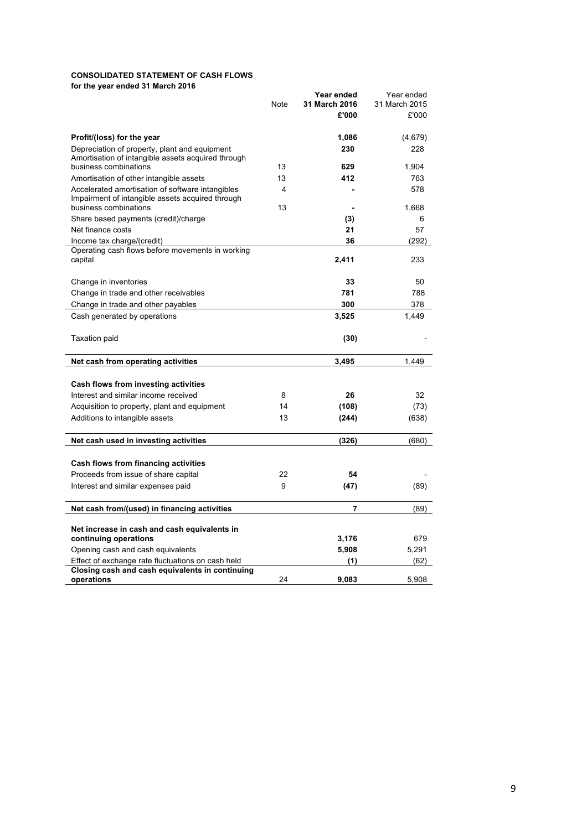# **CONSOLIDATED STATEMENT OF CASH FLOWS**

| for the year ended 31 March 2016 |  |  |  |  |  |
|----------------------------------|--|--|--|--|--|
|----------------------------------|--|--|--|--|--|

|                                                                                             | Note     | Year ended<br>31 March 2016 | Year ended<br>31 March 2015 |
|---------------------------------------------------------------------------------------------|----------|-----------------------------|-----------------------------|
|                                                                                             |          | £'000                       | £'000                       |
|                                                                                             |          |                             |                             |
| Profit/(loss) for the year                                                                  |          | 1,086                       | (4,679)                     |
| Depreciation of property, plant and equipment                                               |          | 230                         | 228                         |
| Amortisation of intangible assets acquired through                                          |          |                             |                             |
| business combinations                                                                       | 13<br>13 | 629<br>412                  | 1,904<br>763                |
| Amortisation of other intangible assets<br>Accelerated amortisation of software intangibles | 4        |                             | 578                         |
| Impairment of intangible assets acquired through                                            |          |                             |                             |
| business combinations                                                                       | 13       |                             | 1,668                       |
| Share based payments (credit)/charge                                                        |          | (3)                         | 6                           |
| Net finance costs                                                                           |          | 21                          | 57                          |
| Income tax charge/(credit)                                                                  |          | 36                          | (292)                       |
| Operating cash flows before movements in working<br>capital                                 |          | 2,411                       | 233                         |
|                                                                                             |          |                             |                             |
| Change in inventories                                                                       |          | 33                          | 50                          |
| Change in trade and other receivables                                                       |          | 781                         | 788                         |
| Change in trade and other payables                                                          |          | 300                         | 378                         |
| Cash generated by operations                                                                |          | 3,525                       | 1,449                       |
|                                                                                             |          |                             |                             |
| Taxation paid                                                                               |          | (30)                        |                             |
|                                                                                             |          |                             |                             |
| Net cash from operating activities                                                          |          | 3,495                       | 1,449                       |
|                                                                                             |          |                             |                             |
| Cash flows from investing activities                                                        |          |                             |                             |
| Interest and similar income received                                                        | 8        | 26                          | 32                          |
| Acquisition to property, plant and equipment                                                | 14       | (108)                       | (73)                        |
| Additions to intangible assets                                                              | 13       | (244)                       | (638)                       |
| Net cash used in investing activities                                                       |          | (326)                       | (680)                       |
|                                                                                             |          |                             |                             |
| Cash flows from financing activities                                                        |          |                             |                             |
| Proceeds from issue of share capital                                                        | 22       | 54                          |                             |
| Interest and similar expenses paid                                                          | 9        | (47)                        | (89)                        |
|                                                                                             |          |                             |                             |
| Net cash from/(used) in financing activities                                                |          | 7                           | (89)                        |
|                                                                                             |          |                             |                             |
| Net increase in cash and cash equivalents in<br>continuing operations                       |          | 3,176                       | 679                         |
| Opening cash and cash equivalents                                                           |          | 5,908                       | 5,291                       |
| Effect of exchange rate fluctuations on cash held                                           |          | (1)                         | (62)                        |
| Closing cash and cash equivalents in continuing                                             |          |                             |                             |
| operations                                                                                  | 24       | 9.083                       | 5.908                       |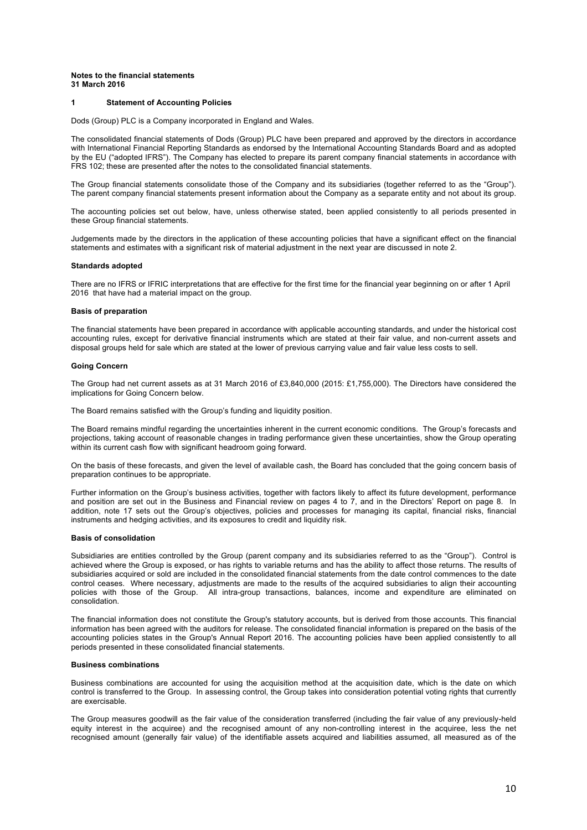### **Notes to the financial statements 31 March 2016**

## **1 Statement of Accounting Policies**

Dods (Group) PLC is a Company incorporated in England and Wales.

The consolidated financial statements of Dods (Group) PLC have been prepared and approved by the directors in accordance with International Financial Reporting Standards as endorsed by the International Accounting Standards Board and as adopted by the EU ("adopted IFRS"). The Company has elected to prepare its parent company financial statements in accordance with FRS 102; these are presented after the notes to the consolidated financial statements.

The Group financial statements consolidate those of the Company and its subsidiaries (together referred to as the "Group"). The parent company financial statements present information about the Company as a separate entity and not about its group.

The accounting policies set out below, have, unless otherwise stated, been applied consistently to all periods presented in these Group financial statements.

Judgements made by the directors in the application of these accounting policies that have a significant effect on the financial statements and estimates with a significant risk of material adjustment in the next year are discussed in note 2.

#### **Standards adopted**

There are no IFRS or IFRIC interpretations that are effective for the first time for the financial year beginning on or after 1 April 2016 that have had a material impact on the group.

#### **Basis of preparation**

The financial statements have been prepared in accordance with applicable accounting standards, and under the historical cost accounting rules, except for derivative financial instruments which are stated at their fair value, and non-current assets and disposal groups held for sale which are stated at the lower of previous carrying value and fair value less costs to sell.

#### **Going Concern**

The Group had net current assets as at 31 March 2016 of £3,840,000 (2015: £1,755,000). The Directors have considered the implications for Going Concern below.

The Board remains satisfied with the Group's funding and liquidity position.

The Board remains mindful regarding the uncertainties inherent in the current economic conditions. The Group's forecasts and projections, taking account of reasonable changes in trading performance given these uncertainties, show the Group operating within its current cash flow with significant headroom going forward.

On the basis of these forecasts, and given the level of available cash, the Board has concluded that the going concern basis of preparation continues to be appropriate.

Further information on the Group's business activities, together with factors likely to affect its future development, performance and position are set out in the Business and Financial review on pages 4 to 7, and in the Directors' Report on page 8. In addition, note 17 sets out the Group's objectives, policies and processes for managing its capital, financial risks, financial instruments and hedging activities, and its exposures to credit and liquidity risk.

## **Basis of consolidation**

Subsidiaries are entities controlled by the Group (parent company and its subsidiaries referred to as the "Group"). Control is achieved where the Group is exposed, or has rights to variable returns and has the ability to affect those returns. The results of subsidiaries acquired or sold are included in the consolidated financial statements from the date control commences to the date control ceases. Where necessary, adjustments are made to the results of the acquired subsidiaries to align their accounting policies with those of the Group. All intra-group transactions, balances, income and expenditure are eliminated on consolidation.

The financial information does not constitute the Group's statutory accounts, but is derived from those accounts. This financial information has been agreed with the auditors for release. The consolidated financial information is prepared on the basis of the accounting policies states in the Group's Annual Report 2016. The accounting policies have been applied consistently to all periods presented in these consolidated financial statements.

### **Business combinations**

Business combinations are accounted for using the acquisition method at the acquisition date, which is the date on which control is transferred to the Group. In assessing control, the Group takes into consideration potential voting rights that currently are exercisable.

The Group measures goodwill as the fair value of the consideration transferred (including the fair value of any previously-held equity interest in the acquiree) and the recognised amount of any non-controlling interest in the acquiree, less the net recognised amount (generally fair value) of the identifiable assets acquired and liabilities assumed, all measured as of the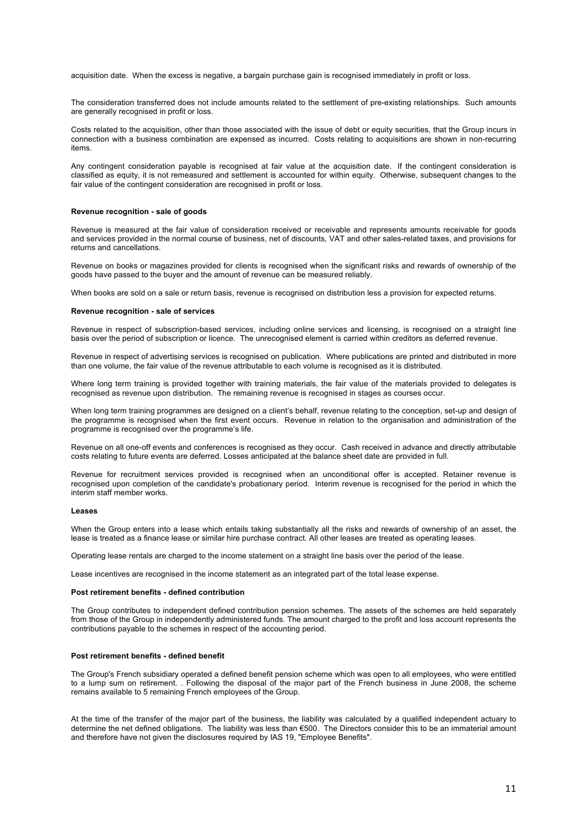acquisition date. When the excess is negative, a bargain purchase gain is recognised immediately in profit or loss.

The consideration transferred does not include amounts related to the settlement of pre-existing relationships. Such amounts are generally recognised in profit or loss.

Costs related to the acquisition, other than those associated with the issue of debt or equity securities, that the Group incurs in connection with a business combination are expensed as incurred. Costs relating to acquisitions are shown in non-recurring items.

Any contingent consideration payable is recognised at fair value at the acquisition date. If the contingent consideration is classified as equity, it is not remeasured and settlement is accounted for within equity. Otherwise, subsequent changes to the fair value of the contingent consideration are recognised in profit or loss.

### **Revenue recognition - sale of goods**

Revenue is measured at the fair value of consideration received or receivable and represents amounts receivable for goods and services provided in the normal course of business, net of discounts, VAT and other sales-related taxes, and provisions for returns and cancellations.

Revenue on books or magazines provided for clients is recognised when the significant risks and rewards of ownership of the goods have passed to the buyer and the amount of revenue can be measured reliably.

When books are sold on a sale or return basis, revenue is recognised on distribution less a provision for expected returns.

#### **Revenue recognition - sale of services**

Revenue in respect of subscription-based services, including online services and licensing, is recognised on a straight line basis over the period of subscription or licence. The unrecognised element is carried within creditors as deferred revenue.

Revenue in respect of advertising services is recognised on publication. Where publications are printed and distributed in more than one volume, the fair value of the revenue attributable to each volume is recognised as it is distributed.

Where long term training is provided together with training materials, the fair value of the materials provided to delegates is recognised as revenue upon distribution. The remaining revenue is recognised in stages as courses occur.

When long term training programmes are designed on a client's behalf, revenue relating to the conception, set-up and design of the programme is recognised when the first event occurs. Revenue in relation to the organisation and administration of the programme is recognised over the programme's life.

Revenue on all one-off events and conferences is recognised as they occur. Cash received in advance and directly attributable costs relating to future events are deferred. Losses anticipated at the balance sheet date are provided in full.

Revenue for recruitment services provided is recognised when an unconditional offer is accepted. Retainer revenue is recognised upon completion of the candidate's probationary period. Interim revenue is recognised for the period in which the interim staff member works.

### **Leases**

When the Group enters into a lease which entails taking substantially all the risks and rewards of ownership of an asset, the lease is treated as a finance lease or similar hire purchase contract. All other leases are treated as operating leases.

Operating lease rentals are charged to the income statement on a straight line basis over the period of the lease.

Lease incentives are recognised in the income statement as an integrated part of the total lease expense.

### **Post retirement benefits - defined contribution**

The Group contributes to independent defined contribution pension schemes. The assets of the schemes are held separately from those of the Group in independently administered funds. The amount charged to the profit and loss account represents the contributions payable to the schemes in respect of the accounting period.

## **Post retirement benefits - defined benefit**

The Group's French subsidiary operated a defined benefit pension scheme which was open to all employees, who were entitled to a lump sum on retirement. . Following the disposal of the major part of the French business in June 2008, the scheme remains available to 5 remaining French employees of the Group.

At the time of the transfer of the major part of the business, the liability was calculated by a qualified independent actuary to determine the net defined obligations. The liability was less than €500. The Directors consider this to be an immaterial amount and therefore have not given the disclosures required by IAS 19, "Employee Benefits".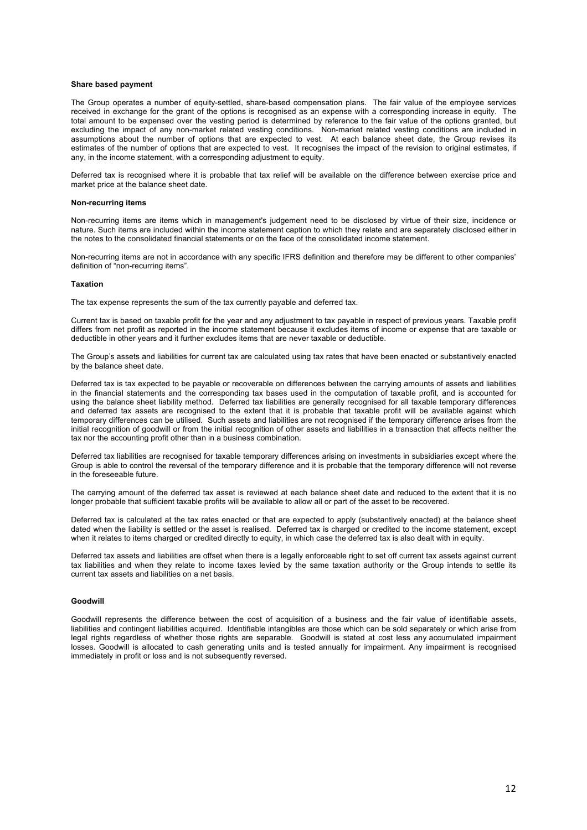### **Share based payment**

The Group operates a number of equity-settled, share-based compensation plans. The fair value of the employee services received in exchange for the grant of the options is recognised as an expense with a corresponding increase in equity. The total amount to be expensed over the vesting period is determined by reference to the fair value of the options granted, but excluding the impact of any non-market related vesting conditions. Non-market related vesting conditions are included in assumptions about the number of options that are expected to vest. At each balance sheet date, the Group revises its estimates of the number of options that are expected to vest. It recognises the impact of the revision to original estimates, if any, in the income statement, with a corresponding adjustment to equity.

Deferred tax is recognised where it is probable that tax relief will be available on the difference between exercise price and market price at the balance sheet date.

### **Non-recurring items**

Non-recurring items are items which in management's judgement need to be disclosed by virtue of their size, incidence or nature. Such items are included within the income statement caption to which they relate and are separately disclosed either in the notes to the consolidated financial statements or on the face of the consolidated income statement.

Non-recurring items are not in accordance with any specific IFRS definition and therefore may be different to other companies' definition of "non-recurring items".

### **Taxation**

The tax expense represents the sum of the tax currently payable and deferred tax.

Current tax is based on taxable profit for the year and any adjustment to tax payable in respect of previous years. Taxable profit differs from net profit as reported in the income statement because it excludes items of income or expense that are taxable or deductible in other years and it further excludes items that are never taxable or deductible.

The Group's assets and liabilities for current tax are calculated using tax rates that have been enacted or substantively enacted by the balance sheet date.

Deferred tax is tax expected to be payable or recoverable on differences between the carrying amounts of assets and liabilities in the financial statements and the corresponding tax bases used in the computation of taxable profit, and is accounted for using the balance sheet liability method. Deferred tax liabilities are generally recognised for all taxable temporary differences and deferred tax assets are recognised to the extent that it is probable that taxable profit will be available against which temporary differences can be utilised. Such assets and liabilities are not recognised if the temporary difference arises from the initial recognition of goodwill or from the initial recognition of other assets and liabilities in a transaction that affects neither the tax nor the accounting profit other than in a business combination.

Deferred tax liabilities are recognised for taxable temporary differences arising on investments in subsidiaries except where the Group is able to control the reversal of the temporary difference and it is probable that the temporary difference will not reverse in the foreseeable future.

The carrying amount of the deferred tax asset is reviewed at each balance sheet date and reduced to the extent that it is no longer probable that sufficient taxable profits will be available to allow all or part of the asset to be recovered.

Deferred tax is calculated at the tax rates enacted or that are expected to apply (substantively enacted) at the balance sheet dated when the liability is settled or the asset is realised. Deferred tax is charged or credited to the income statement, except when it relates to items charged or credited directly to equity, in which case the deferred tax is also dealt with in equity.

Deferred tax assets and liabilities are offset when there is a legally enforceable right to set off current tax assets against current tax liabilities and when they relate to income taxes levied by the same taxation authority or the Group intends to settle its current tax assets and liabilities on a net basis.

### **Goodwill**

Goodwill represents the difference between the cost of acquisition of a business and the fair value of identifiable assets, liabilities and contingent liabilities acquired. Identifiable intangibles are those which can be sold separately or which arise from legal rights regardless of whether those rights are separable. Goodwill is stated at cost less any accumulated impairment losses. Goodwill is allocated to cash generating units and is tested annually for impairment. Any impairment is recognised immediately in profit or loss and is not subsequently reversed.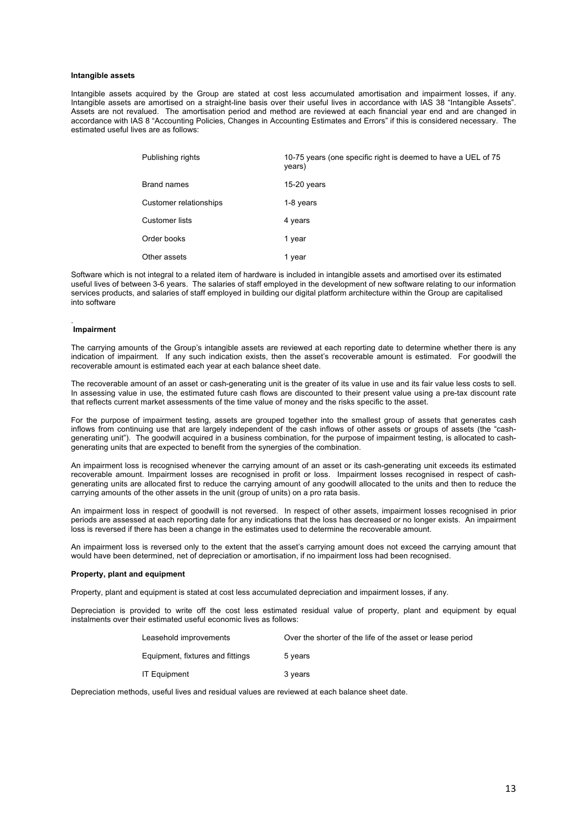### **Intangible assets**

Intangible assets acquired by the Group are stated at cost less accumulated amortisation and impairment losses, if any. Intangible assets are amortised on a straight-line basis over their useful lives in accordance with IAS 38 "Intangible Assets". Assets are not revalued. The amortisation period and method are reviewed at each financial year end and are changed in accordance with IAS 8 "Accounting Policies, Changes in Accounting Estimates and Errors" if this is considered necessary. The estimated useful lives are as follows:

| Publishing rights      | 10-75 years (one specific right is deemed to have a UEL of 75<br>years) |
|------------------------|-------------------------------------------------------------------------|
| Brand names            | $15-20$ years                                                           |
| Customer relationships | 1-8 years                                                               |
| <b>Customer lists</b>  | 4 years                                                                 |
| Order books            | 1 year                                                                  |
| Other assets           | 1 year                                                                  |

Software which is not integral to a related item of hardware is included in intangible assets and amortised over its estimated useful lives of between 3-6 years. The salaries of staff employed in the development of new software relating to our information services products, and salaries of staff employed in building our digital platform architecture within the Group are capitalised into software

#### . **Impairment**

The carrying amounts of the Group's intangible assets are reviewed at each reporting date to determine whether there is any indication of impairment. If any such indication exists, then the asset's recoverable amount is estimated. For goodwill the recoverable amount is estimated each year at each balance sheet date.

The recoverable amount of an asset or cash-generating unit is the greater of its value in use and its fair value less costs to sell. In assessing value in use, the estimated future cash flows are discounted to their present value using a pre-tax discount rate that reflects current market assessments of the time value of money and the risks specific to the asset.

For the purpose of impairment testing, assets are grouped together into the smallest group of assets that generates cash inflows from continuing use that are largely independent of the cash inflows of other assets or groups of assets (the "cashgenerating unit"). The goodwill acquired in a business combination, for the purpose of impairment testing, is allocated to cashgenerating units that are expected to benefit from the synergies of the combination.

An impairment loss is recognised whenever the carrying amount of an asset or its cash-generating unit exceeds its estimated recoverable amount. Impairment losses are recognised in profit or loss. Impairment losses recognised in respect of cashgenerating units are allocated first to reduce the carrying amount of any goodwill allocated to the units and then to reduce the carrying amounts of the other assets in the unit (group of units) on a pro rata basis.

An impairment loss in respect of goodwill is not reversed. In respect of other assets, impairment losses recognised in prior periods are assessed at each reporting date for any indications that the loss has decreased or no longer exists. An impairment loss is reversed if there has been a change in the estimates used to determine the recoverable amount.

An impairment loss is reversed only to the extent that the asset's carrying amount does not exceed the carrying amount that would have been determined, net of depreciation or amortisation, if no impairment loss had been recognised.

#### **Property, plant and equipment**

Property, plant and equipment is stated at cost less accumulated depreciation and impairment losses, if any.

Depreciation is provided to write off the cost less estimated residual value of property, plant and equipment by equal instalments over their estimated useful economic lives as follows:

| Leasehold improvements           | Over the shorter of the life of the asset or lease period |
|----------------------------------|-----------------------------------------------------------|
| Equipment, fixtures and fittings | 5 vears                                                   |
| IT Equipment                     | 3 vears                                                   |

Depreciation methods, useful lives and residual values are reviewed at each balance sheet date.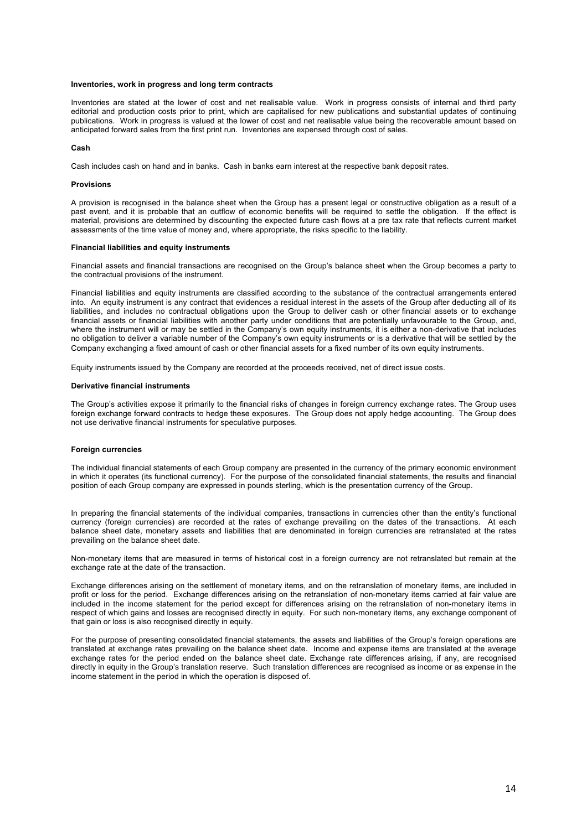### **Inventories, work in progress and long term contracts**

Inventories are stated at the lower of cost and net realisable value. Work in progress consists of internal and third party editorial and production costs prior to print, which are capitalised for new publications and substantial updates of continuing publications. Work in progress is valued at the lower of cost and net realisable value being the recoverable amount based on anticipated forward sales from the first print run. Inventories are expensed through cost of sales.

### **Cash**

Cash includes cash on hand and in banks. Cash in banks earn interest at the respective bank deposit rates.

### **Provisions**

A provision is recognised in the balance sheet when the Group has a present legal or constructive obligation as a result of a past event, and it is probable that an outflow of economic benefits will be required to settle the obligation. If the effect is material, provisions are determined by discounting the expected future cash flows at a pre tax rate that reflects current market assessments of the time value of money and, where appropriate, the risks specific to the liability.

### **Financial liabilities and equity instruments**

Financial assets and financial transactions are recognised on the Group's balance sheet when the Group becomes a party to the contractual provisions of the instrument.

Financial liabilities and equity instruments are classified according to the substance of the contractual arrangements entered into. An equity instrument is any contract that evidences a residual interest in the assets of the Group after deducting all of its liabilities, and includes no contractual obligations upon the Group to deliver cash or other financial assets or to exchange financial assets or financial liabilities with another party under conditions that are potentially unfavourable to the Group, and, where the instrument will or may be settled in the Company's own equity instruments, it is either a non-derivative that includes no obligation to deliver a variable number of the Company's own equity instruments or is a derivative that will be settled by the Company exchanging a fixed amount of cash or other financial assets for a fixed number of its own equity instruments.

Equity instruments issued by the Company are recorded at the proceeds received, net of direct issue costs.

### **Derivative financial instruments**

The Group's activities expose it primarily to the financial risks of changes in foreign currency exchange rates. The Group uses foreign exchange forward contracts to hedge these exposures. The Group does not apply hedge accounting. The Group does not use derivative financial instruments for speculative purposes.

### **Foreign currencies**

The individual financial statements of each Group company are presented in the currency of the primary economic environment in which it operates (its functional currency). For the purpose of the consolidated financial statements, the results and financial position of each Group company are expressed in pounds sterling, which is the presentation currency of the Group.

In preparing the financial statements of the individual companies, transactions in currencies other than the entity's functional currency (foreign currencies) are recorded at the rates of exchange prevailing on the dates of the transactions. At each balance sheet date, monetary assets and liabilities that are denominated in foreign currencies are retranslated at the rates prevailing on the balance sheet date.

Non-monetary items that are measured in terms of historical cost in a foreign currency are not retranslated but remain at the exchange rate at the date of the transaction.

Exchange differences arising on the settlement of monetary items, and on the retranslation of monetary items, are included in profit or loss for the period. Exchange differences arising on the retranslation of non-monetary items carried at fair value are included in the income statement for the period except for differences arising on the retranslation of non-monetary items in respect of which gains and losses are recognised directly in equity. For such non-monetary items, any exchange component of that gain or loss is also recognised directly in equity.

For the purpose of presenting consolidated financial statements, the assets and liabilities of the Group's foreign operations are translated at exchange rates prevailing on the balance sheet date. Income and expense items are translated at the average exchange rates for the period ended on the balance sheet date. Exchange rate differences arising, if any, are recognised directly in equity in the Group's translation reserve. Such translation differences are recognised as income or as expense in the income statement in the period in which the operation is disposed of.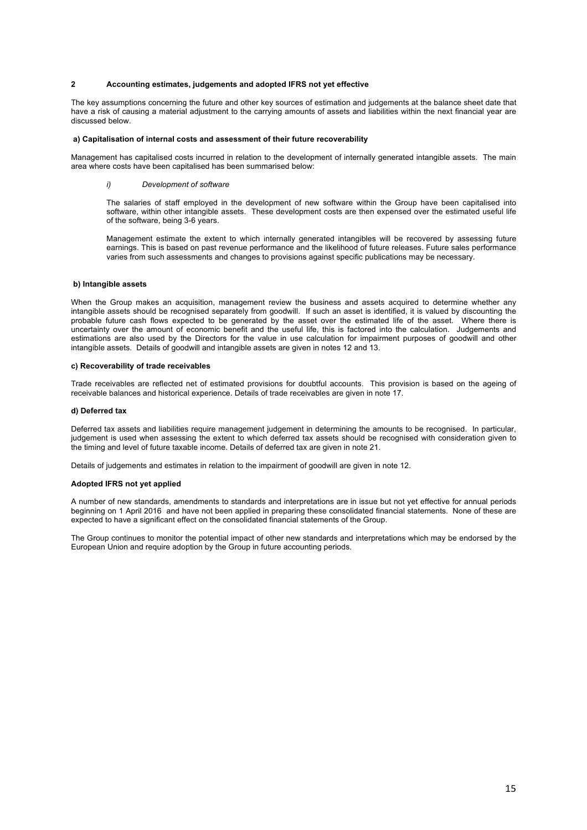### **2 Accounting estimates, judgements and adopted IFRS not yet effective**

The key assumptions concerning the future and other key sources of estimation and judgements at the balance sheet date that have a risk of causing a material adjustment to the carrying amounts of assets and liabilities within the next financial year are discussed below.

### **a) Capitalisation of internal costs and assessment of their future recoverability**

Management has capitalised costs incurred in relation to the development of internally generated intangible assets. The main area where costs have been capitalised has been summarised below:

### *i) Development of software*

The salaries of staff employed in the development of new software within the Group have been capitalised into software, within other intangible assets. These development costs are then expensed over the estimated useful life of the software, being 3-6 years.

Management estimate the extent to which internally generated intangibles will be recovered by assessing future earnings. This is based on past revenue performance and the likelihood of future releases. Future sales performance varies from such assessments and changes to provisions against specific publications may be necessary.

#### **b) Intangible assets**

When the Group makes an acquisition, management review the business and assets acquired to determine whether any intangible assets should be recognised separately from goodwill. If such an asset is identified, it is valued by discounting the probable future cash flows expected to be generated by the asset over the estimated life of the asset. Where there is uncertainty over the amount of economic benefit and the useful life, this is factored into the calculation. Judgements and estimations are also used by the Directors for the value in use calculation for impairment purposes of goodwill and other intangible assets. Details of goodwill and intangible assets are given in notes 12 and 13.

### **c) Recoverability of trade receivables**

Trade receivables are reflected net of estimated provisions for doubtful accounts. This provision is based on the ageing of receivable balances and historical experience. Details of trade receivables are given in note 17.

#### **d) Deferred tax**

Deferred tax assets and liabilities require management judgement in determining the amounts to be recognised. In particular, judgement is used when assessing the extent to which deferred tax assets should be recognised with consideration given to the timing and level of future taxable income. Details of deferred tax are given in note 21.

Details of judgements and estimates in relation to the impairment of goodwill are given in note 12.

### **Adopted IFRS not yet applied**

A number of new standards, amendments to standards and interpretations are in issue but not yet effective for annual periods beginning on 1 April 2016 and have not been applied in preparing these consolidated financial statements. None of these are expected to have a significant effect on the consolidated financial statements of the Group.

The Group continues to monitor the potential impact of other new standards and interpretations which may be endorsed by the European Union and require adoption by the Group in future accounting periods.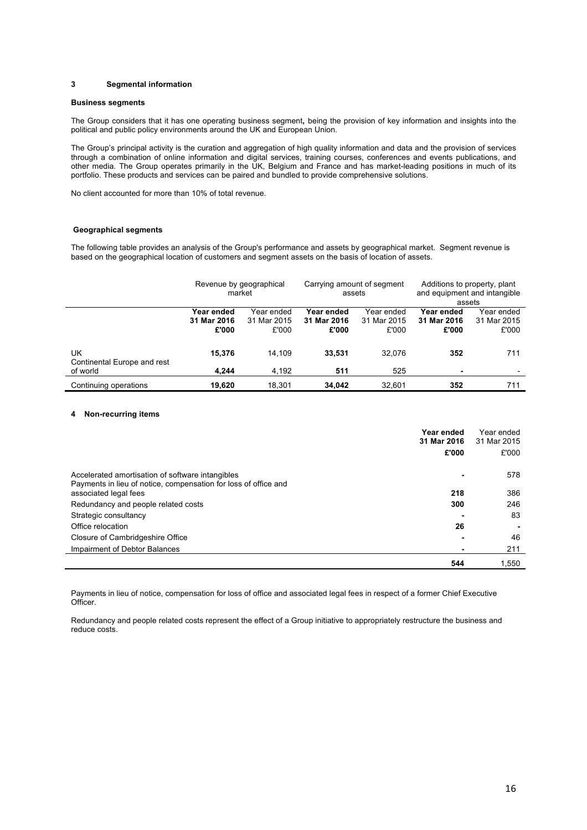## **3 Segmental information**

## **Business segments**

The Group considers that it has one operating business segment**,** being the provision of key information and insights into the political and public policy environments around the UK and European Union.

The Group's principal activity is the curation and aggregation of high quality information and data and the provision of services through a combination of online information and digital services, training courses, conferences and events publications, and other media. The Group operates primarily in the UK, Belgium and France and has market-leading positions in much of its portfolio. These products and services can be paired and bundled to provide comprehensive solutions.

No client accounted for more than 10% of total revenue.

### **Geographical segments**

The following table provides an analysis of the Group's performance and assets by geographical market. Segment revenue is based on the geographical location of customers and segment assets on the basis of location of assets.

|                             | Revenue by geographical<br>market |             | Carrying amount of segment<br>assets |             | Additions to property, plant<br>assets | and equipment and intangible |
|-----------------------------|-----------------------------------|-------------|--------------------------------------|-------------|----------------------------------------|------------------------------|
|                             | Year ended                        | Year ended  | Year ended                           | Year ended  | Year ended                             | Year ended                   |
|                             | 31 Mar 2016                       | 31 Mar 2015 | 31 Mar 2016                          | 31 Mar 2015 | 31 Mar 2016                            | 31 Mar 2015                  |
|                             | £'000                             | £'000       | £'000                                | £'000       | £'000                                  | £'000                        |
| UK                          | 15.376                            | 14.109      | 33.531                               | 32.076      | 352                                    | 711                          |
| Continental Europe and rest |                                   |             |                                      |             |                                        |                              |
| of world                    | 4.244                             | 4,192       | 511                                  | 525         | ٠                                      |                              |
| Continuing operations       | 19.620                            | 18.301      | 34.042                               | 32.601      | 352                                    | 711                          |

## **4 Non-recurring items**

|                                                                                                                     | Year ended<br>31 Mar 2016 | Year ended<br>31 Mar 2015 |
|---------------------------------------------------------------------------------------------------------------------|---------------------------|---------------------------|
|                                                                                                                     | £'000                     | £'000                     |
| Accelerated amortisation of software intangibles<br>Payments in lieu of notice, compensation for loss of office and |                           | 578                       |
| associated legal fees                                                                                               | 218                       | 386                       |
| Redundancy and people related costs                                                                                 | 300                       | 246                       |
| Strategic consultancy                                                                                               |                           | 83                        |
| Office relocation                                                                                                   | 26                        |                           |
| Closure of Cambridgeshire Office                                                                                    |                           | 46                        |
| Impairment of Debtor Balances                                                                                       |                           | 211                       |
|                                                                                                                     | 544                       | 1.550                     |

Payments in lieu of notice, compensation for loss of office and associated legal fees in respect of a former Chief Executive Officer.

Redundancy and people related costs represent the effect of a Group initiative to appropriately restructure the business and reduce costs.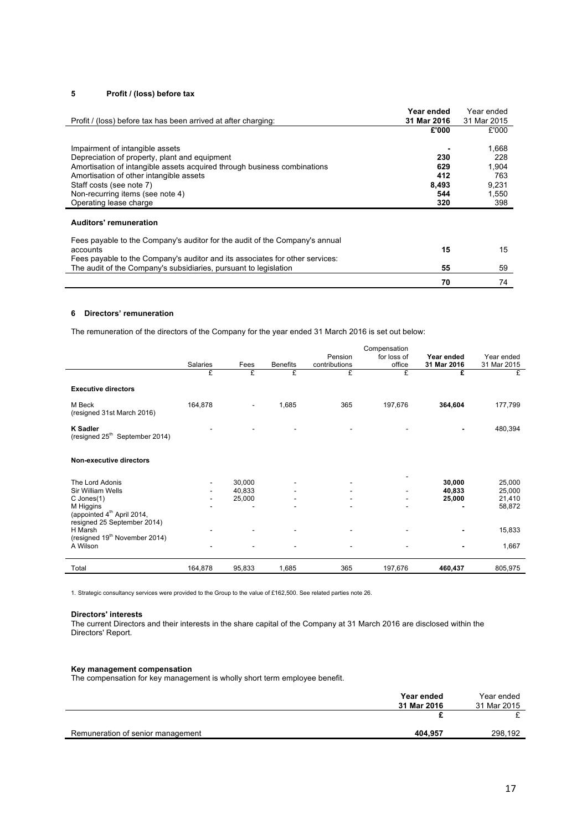## **5 Profit / (loss) before tax**

|                                                                              | Year ended  | Year ended  |
|------------------------------------------------------------------------------|-------------|-------------|
| Profit / (loss) before tax has been arrived at after charging:               | 31 Mar 2016 | 31 Mar 2015 |
|                                                                              | £'000       | £'000       |
|                                                                              |             |             |
| Impairment of intangible assets                                              |             | 1,668       |
| Depreciation of property, plant and equipment                                | 230         | 228         |
| Amortisation of intangible assets acquired through business combinations     | 629         | 1,904       |
| Amortisation of other intangible assets                                      | 412         | 763         |
| Staff costs (see note 7)                                                     | 8.493       | 9.231       |
| Non-recurring items (see note 4)                                             | 544         | 1,550       |
| Operating lease charge                                                       | 320         | 398         |
|                                                                              |             |             |
| <b>Auditors' remuneration</b>                                                |             |             |
| Fees payable to the Company's auditor for the audit of the Company's annual  |             |             |
| accounts                                                                     | 15          | 15          |
| Fees payable to the Company's auditor and its associates for other services: |             |             |
| The audit of the Company's subsidiaries, pursuant to legislation             | 55          | 59          |
|                                                                              | 70          | 74          |

## **6 Directors' remuneration**

The remuneration of the directors of the Company for the year ended 31 March 2016 is set out below:

|                                                               |          |        |                 | Pension       | Compensation<br>for loss of | Year ended  | Year ended  |
|---------------------------------------------------------------|----------|--------|-----------------|---------------|-----------------------------|-------------|-------------|
|                                                               | Salaries | Fees   | <b>Benefits</b> | contributions | office                      | 31 Mar 2016 | 31 Mar 2015 |
|                                                               | £        | £      | £               | £             | £                           | £           | £           |
| <b>Executive directors</b>                                    |          |        |                 |               |                             |             |             |
| M Beck<br>(resigned 31st March 2016)                          | 164,878  |        | 1,685           | 365           | 197,676                     | 364,604     | 177,799     |
| <b>K</b> Sadler<br>(resigned 25 <sup>th</sup> September 2014) |          |        |                 |               |                             |             | 480,394     |
| <b>Non-executive directors</b>                                |          |        |                 |               |                             |             |             |
| The Lord Adonis                                               |          | 30,000 |                 |               |                             | 30,000      | 25,000      |
| Sir William Wells                                             |          | 40,833 |                 |               |                             | 40,833      | 25,000      |
| $C$ Jones $(1)$                                               |          | 25,000 |                 |               |                             | 25,000      | 21,410      |
| M Higgins                                                     |          |        |                 |               |                             |             | 58,872      |
| (appointed 4 <sup>th</sup> April 2014,                        |          |        |                 |               |                             |             |             |
| resigned 25 September 2014)<br>H Marsh                        |          |        |                 |               |                             |             | 15,833      |
| (resigned 19 <sup>th</sup> November 2014)                     |          |        |                 |               |                             |             |             |
| A Wilson                                                      |          |        |                 |               |                             |             | 1,667       |
| Total                                                         | 164,878  | 95,833 | 1,685           | 365           | 197,676                     | 460,437     | 805,975     |

1. Strategic consultancy services were provided to the Group to the value of £162,500. See related parties note 26.

## **Directors' interests**

The current Directors and their interests in the share capital of the Company at 31 March 2016 are disclosed within the Directors' Report.

## **Key management compensation**

The compensation for key management is wholly short term employee benefit.

|                                   | Year ended<br>31 Mar 2016 | Year ended<br>31 Mar 2015 |
|-----------------------------------|---------------------------|---------------------------|
|                                   |                           |                           |
| Remuneration of senior management | 404.957                   | 298,192                   |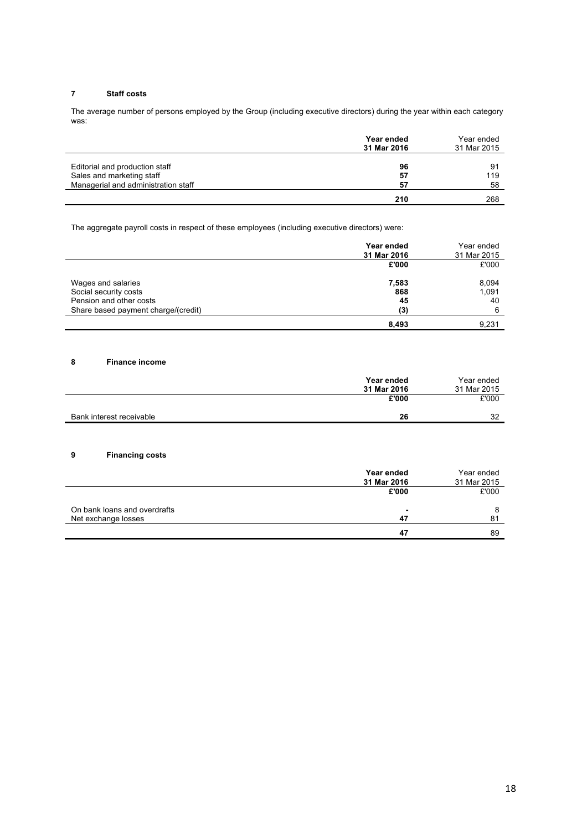# **7 Staff costs**

The average number of persons employed by the Group (including executive directors) during the year within each category was:

|                                     | Year ended<br>31 Mar 2016 | Year ended<br>31 Mar 2015 |
|-------------------------------------|---------------------------|---------------------------|
| Editorial and production staff      | 96                        | 91                        |
| Sales and marketing staff           | 57                        | 119                       |
| Managerial and administration staff | 57                        | 58                        |
|                                     | 210                       | 268                       |

The aggregate payroll costs in respect of these employees (including executive directors) were:

|                                     | Year ended<br>31 Mar 2016 | Year ended<br>31 Mar 2015 |
|-------------------------------------|---------------------------|---------------------------|
|                                     | £'000                     | £'000                     |
| Wages and salaries                  | 7,583                     | 8,094                     |
| Social security costs               | 868                       | 1,091                     |
| Pension and other costs             | 45                        | 40                        |
| Share based payment charge/(credit) | (3)                       | 6                         |
|                                     | 8.493                     | 9.231                     |

# **8 Finance income**

|                          | Year ended<br>31 Mar 2016 | Year ended<br>31 Mar 2015 |
|--------------------------|---------------------------|---------------------------|
|                          | £'000                     | £'000                     |
| Bank interest receivable | 26                        | 32                        |

# **9 Financing costs**

|                              | Year ended<br>31 Mar 2016 | Year ended<br>31 Mar 2015 |
|------------------------------|---------------------------|---------------------------|
|                              | £'000                     | £'000                     |
| On bank loans and overdrafts |                           |                           |
| Net exchange losses          | 47                        | 81                        |
|                              | 47                        | 89                        |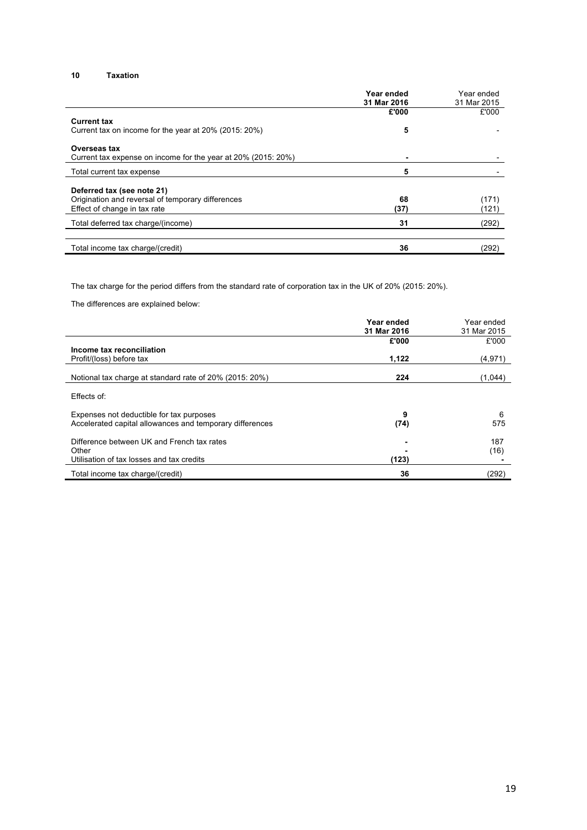## **10 Taxation**

j.

|                                                               | Year ended<br>31 Mar 2016 | Year ended<br>31 Mar 2015 |
|---------------------------------------------------------------|---------------------------|---------------------------|
|                                                               | £'000                     | £'000                     |
| <b>Current tax</b>                                            |                           |                           |
| Current tax on income for the year at 20% (2015: 20%)         | 5                         |                           |
| Overseas tax                                                  |                           |                           |
| Current tax expense on income for the year at 20% (2015: 20%) |                           |                           |
| Total current tax expense                                     | 5                         |                           |
|                                                               |                           |                           |
| Deferred tax (see note 21)                                    |                           |                           |
| Origination and reversal of temporary differences             | 68                        | (171)                     |
| Effect of change in tax rate                                  | (37)                      | (121)                     |
| Total deferred tax charge/(income)                            | 31                        | (292)                     |
|                                                               |                           |                           |
| Total income tax charge/(credit)                              | 36                        | (292)                     |

The tax charge for the period differs from the standard rate of corporation tax in the UK of 20% (2015: 20%).

The differences are explained below:

|                                                          | Year ended<br>31 Mar 2016 | Year ended<br>31 Mar 2015 |
|----------------------------------------------------------|---------------------------|---------------------------|
|                                                          | £'000                     | £'000                     |
| Income tax reconciliation                                |                           |                           |
| Profit/(loss) before tax                                 | 1,122                     | (4, 971)                  |
|                                                          |                           |                           |
| Notional tax charge at standard rate of 20% (2015: 20%)  | 224                       | (1,044)                   |
| Effects of:                                              |                           |                           |
| Expenses not deductible for tax purposes                 | 9                         | 6                         |
| Accelerated capital allowances and temporary differences | (74)                      | 575                       |
| Difference between UK and French tax rates               |                           | 187                       |
| Other                                                    |                           | (16)                      |
| Utilisation of tax losses and tax credits                | (123)                     |                           |
| Total income tax charge/(credit)                         | 36                        | (292)                     |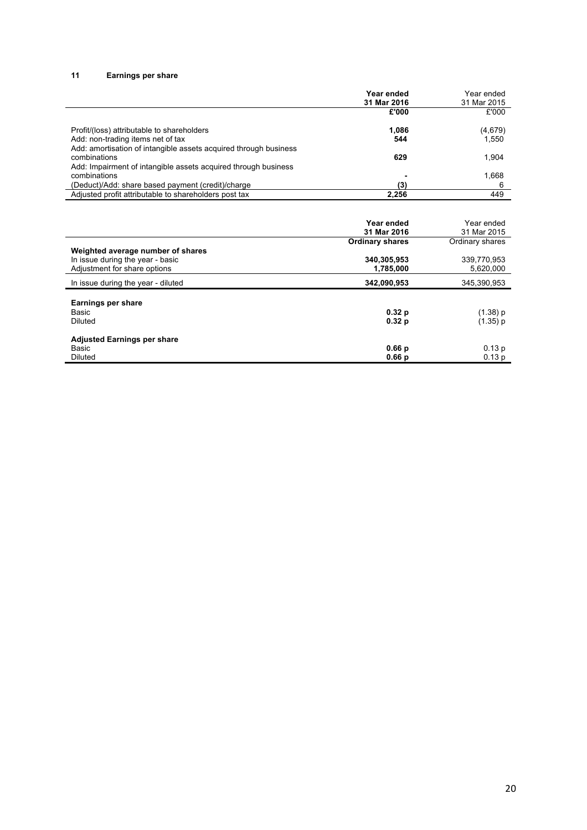# **11 Earnings per share**

| Year ended  | Year ended  |
|-------------|-------------|
| 31 Mar 2016 | 31 Mar 2015 |
| £'000       | £'000       |
| 1,086       | (4,679)     |
| 544         | 1,550       |
|             |             |
| 629         | 1.904       |
|             |             |
|             | 1,668       |
| (3)         | 6           |
| 2.256       | 449         |
|             |             |

|                                                                                                       | Year ended<br>31 Mar 2016                          | Year ended<br>31 Mar 2015                   |
|-------------------------------------------------------------------------------------------------------|----------------------------------------------------|---------------------------------------------|
| Weighted average number of shares<br>In issue during the year - basic<br>Adjustment for share options | <b>Ordinary shares</b><br>340,305,953<br>1,785,000 | Ordinary shares<br>339,770,953<br>5,620,000 |
| In issue during the year - diluted                                                                    | 342,090,953                                        | 345,390,953                                 |
| Earnings per share<br>Basic<br>Diluted                                                                | 0.32 p<br>0.32 p                                   | $(1.38)$ p<br>$(1.35)$ p                    |
| <b>Adjusted Earnings per share</b><br>Basic<br>Diluted                                                | 0.66 p<br>0.66 p                                   | 0.13 <sub>p</sub><br>0.13 p                 |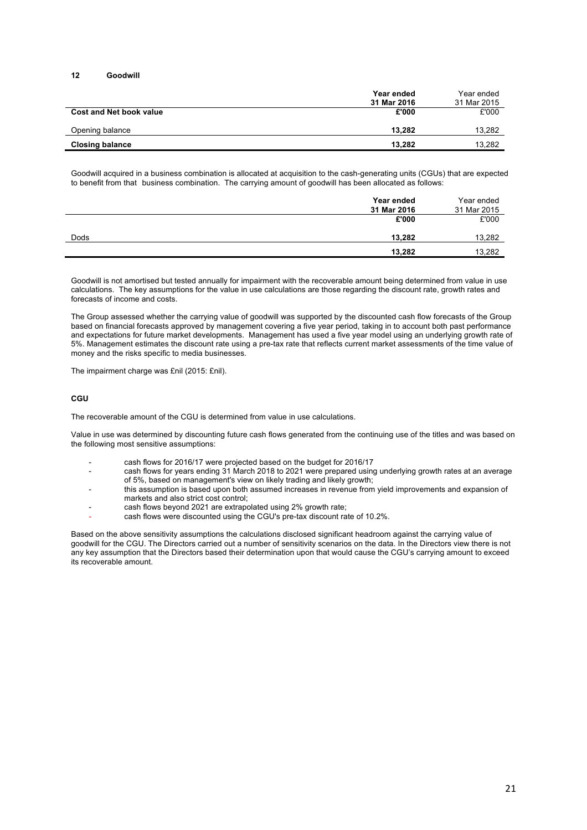### **12 Goodwill**

|                                | Year ended<br>31 Mar 2016 | Year ended<br>31 Mar 2015 |
|--------------------------------|---------------------------|---------------------------|
| <b>Cost and Net book value</b> | £'000                     | £'000                     |
| Opening balance                | 13.282                    | 13,282                    |
| <b>Closing balance</b>         | 13.282                    | 13.282                    |

Goodwill acquired in a business combination is allocated at acquisition to the cash-generating units (CGUs) that are expected to benefit from that business combination. The carrying amount of goodwill has been allocated as follows:

|      | Year ended<br>31 Mar 2016 | Year ended<br>31 Mar 2015 |
|------|---------------------------|---------------------------|
|      | £'000                     | £'000                     |
| Dods | 13.282                    | 13,282                    |
|      | 13.282                    | 13,282                    |

Goodwill is not amortised but tested annually for impairment with the recoverable amount being determined from value in use calculations. The key assumptions for the value in use calculations are those regarding the discount rate, growth rates and forecasts of income and costs.

The Group assessed whether the carrying value of goodwill was supported by the discounted cash flow forecasts of the Group based on financial forecasts approved by management covering a five year period, taking in to account both past performance and expectations for future market developments. Management has used a five year model using an underlying growth rate of 5%. Management estimates the discount rate using a pre-tax rate that reflects current market assessments of the time value of money and the risks specific to media businesses.

The impairment charge was £nil (2015: £nil).

### **CGU**

The recoverable amount of the CGU is determined from value in use calculations.

Value in use was determined by discounting future cash flows generated from the continuing use of the titles and was based on the following most sensitive assumptions:

- cash flows for 2016/17 were projected based on the budget for 2016/17
- cash flows for years ending 31 March 2018 to 2021 were prepared using underlying growth rates at an average of 5%, based on management's view on likely trading and likely growth;
- this assumption is based upon both assumed increases in revenue from yield improvements and expansion of markets and also strict cost control;
- cash flows beyond 2021 are extrapolated using 2% growth rate;
- cash flows were discounted using the CGU's pre-tax discount rate of 10.2%.

Based on the above sensitivity assumptions the calculations disclosed significant headroom against the carrying value of goodwill for the CGU. The Directors carried out a number of sensitivity scenarios on the data. In the Directors view there is not any key assumption that the Directors based their determination upon that would cause the CGU's carrying amount to exceed its recoverable amount.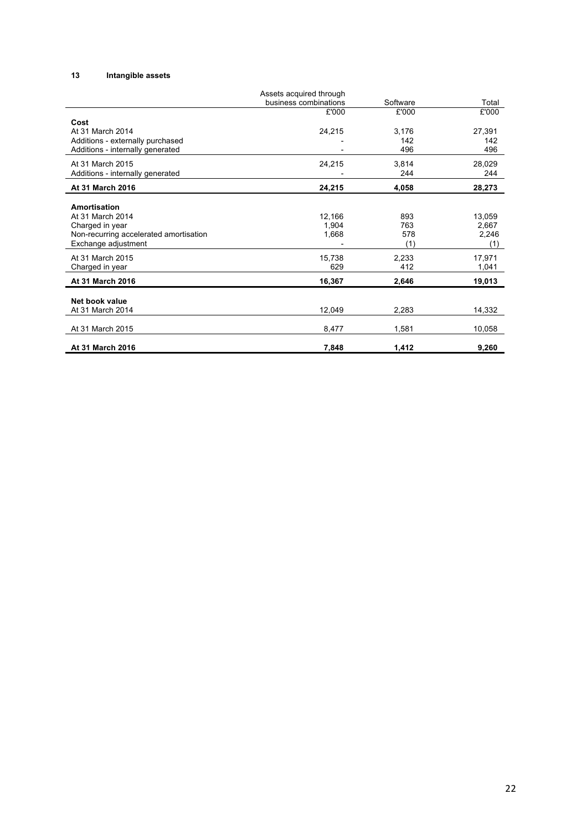# **13 Intangible assets**

|                                        | Assets acquired through |          |        |
|----------------------------------------|-------------------------|----------|--------|
|                                        | business combinations   | Software | Total  |
|                                        | £'000                   | £'000    | £'000  |
| Cost                                   |                         |          |        |
| At 31 March 2014                       | 24,215                  | 3,176    | 27,391 |
| Additions - externally purchased       |                         | 142      | 142    |
| Additions - internally generated       |                         | 496      | 496    |
| At 31 March 2015                       | 24,215                  | 3,814    | 28,029 |
| Additions - internally generated       |                         | 244      | 244    |
| At 31 March 2016                       | 24,215                  | 4,058    | 28,273 |
|                                        |                         |          |        |
| Amortisation                           |                         |          |        |
| At 31 March 2014                       | 12,166                  | 893      | 13,059 |
| Charged in year                        | 1,904                   | 763      | 2,667  |
| Non-recurring accelerated amortisation | 1,668                   | 578      | 2,246  |
| Exchange adjustment                    |                         | (1)      | (1)    |
| At 31 March 2015                       | 15,738                  | 2,233    | 17,971 |
| Charged in year                        | 629                     | 412      | 1,041  |
| At 31 March 2016                       | 16,367                  | 2,646    | 19,013 |
|                                        |                         |          |        |
| Net book value                         |                         |          |        |
| At 31 March 2014                       | 12,049                  | 2,283    | 14,332 |
| At 31 March 2015                       | 8,477                   | 1,581    | 10,058 |
| At 31 March 2016                       | 7,848                   | 1,412    | 9,260  |
|                                        |                         |          |        |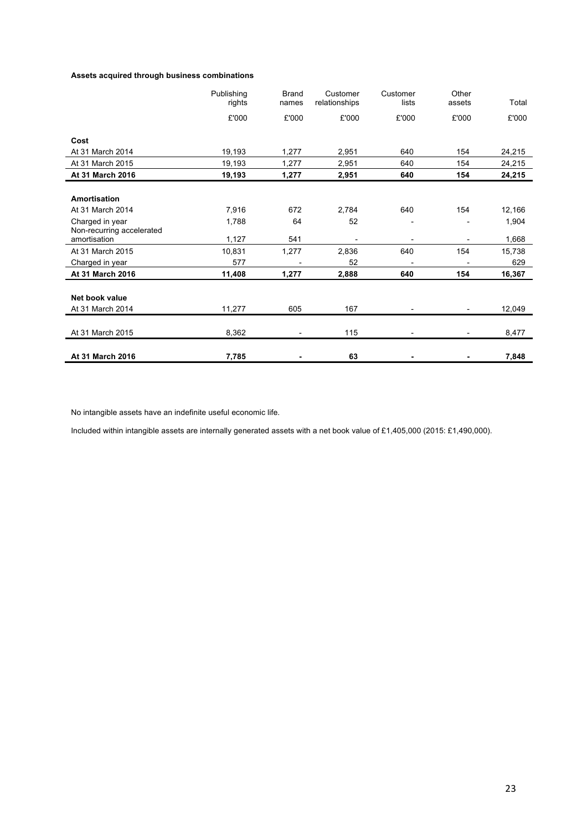# **Assets acquired through business combinations**

|                                              | Publishing<br>rights | <b>Brand</b><br>names | Customer<br>relationships | Customer<br>lists        | Other<br>assets          | Total  |
|----------------------------------------------|----------------------|-----------------------|---------------------------|--------------------------|--------------------------|--------|
|                                              | £'000                | £'000                 | £'000                     | £'000                    | £'000                    | £'000  |
| Cost                                         |                      |                       |                           |                          |                          |        |
| At 31 March 2014                             | 19,193               | 1,277                 | 2,951                     | 640                      | 154                      | 24,215 |
| At 31 March 2015                             | 19,193               | 1,277                 | 2,951                     | 640                      | 154                      | 24,215 |
| At 31 March 2016                             | 19,193               | 1,277                 | 2,951                     | 640                      | 154                      | 24,215 |
|                                              |                      |                       |                           |                          |                          |        |
| Amortisation                                 |                      |                       |                           |                          |                          |        |
| At 31 March 2014                             | 7,916                | 672                   | 2,784                     | 640                      | 154                      | 12,166 |
| Charged in year<br>Non-recurring accelerated | 1,788                | 64                    | 52                        |                          |                          | 1,904  |
| amortisation                                 | 1,127                | 541                   | $\overline{\phantom{a}}$  | $\overline{\phantom{a}}$ | $\overline{\phantom{a}}$ | 1,668  |
| At 31 March 2015                             | 10,831               | 1,277                 | 2,836                     | 640                      | 154                      | 15,738 |
| Charged in year                              | 577                  |                       | 52                        |                          |                          | 629    |
| At 31 March 2016                             | 11,408               | 1,277                 | 2,888                     | 640                      | 154                      | 16,367 |
|                                              |                      |                       |                           |                          |                          |        |
| Net book value                               |                      |                       |                           |                          |                          |        |
| At 31 March 2014                             | 11,277               | 605                   | 167                       |                          | $\overline{\phantom{a}}$ | 12,049 |
|                                              |                      |                       |                           |                          |                          |        |
| At 31 March 2015                             | 8,362                |                       | 115                       |                          |                          | 8,477  |
|                                              |                      |                       |                           |                          |                          |        |
| At 31 March 2016                             | 7,785                |                       | 63                        |                          |                          | 7,848  |

No intangible assets have an indefinite useful economic life.

Included within intangible assets are internally generated assets with a net book value of £1,405,000 (2015: £1,490,000).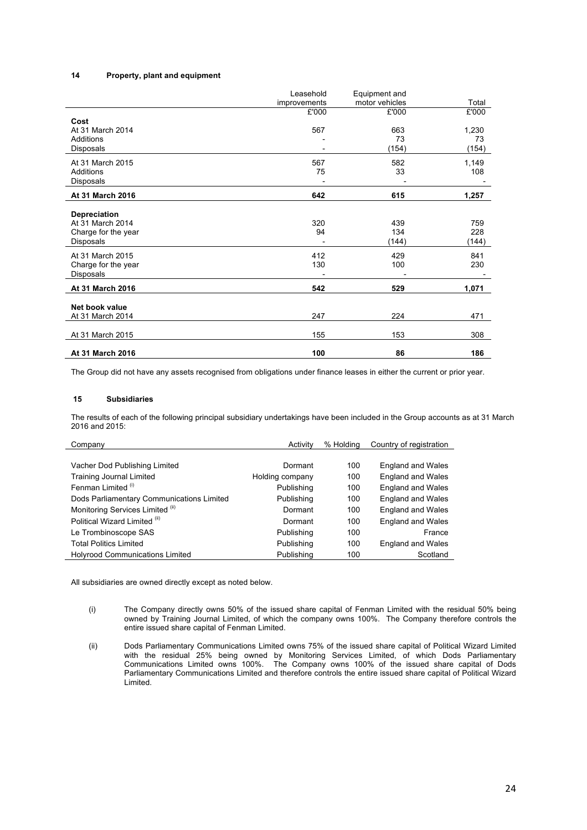## **14 Property, plant and equipment**

|                                                                             | Leasehold    | Equipment and       |                      |
|-----------------------------------------------------------------------------|--------------|---------------------|----------------------|
|                                                                             | improvements | motor vehicles      | Total                |
|                                                                             | £'000        | £'000               | £'000                |
| Cost<br>At 31 March 2014<br>Additions<br>Disposals                          | 567          | 663<br>73<br>(154)  | 1,230<br>73<br>(154) |
| At 31 March 2015<br>Additions<br><b>Disposals</b>                           | 567<br>75    | 582<br>33           | 1,149<br>108         |
| At 31 March 2016                                                            | 642          | 615                 | 1,257                |
| <b>Depreciation</b><br>At 31 March 2014<br>Charge for the year<br>Disposals | 320<br>94    | 439<br>134<br>(144) | 759<br>228<br>(144)  |
| At 31 March 2015<br>Charge for the year<br>Disposals                        | 412<br>130   | 429<br>100          | 841<br>230           |
| At 31 March 2016                                                            | 542          | 529                 | 1,071                |
| Net book value<br>At 31 March 2014                                          | 247          | 224                 | 471                  |
| At 31 March 2015                                                            | 155          | 153                 | 308                  |
| At 31 March 2016                                                            | 100          | 86                  | 186                  |

The Group did not have any assets recognised from obligations under finance leases in either the current or prior year.

### **15 Subsidiaries**

The results of each of the following principal subsidiary undertakings have been included in the Group accounts as at 31 March 2016 and 2015:

| Company                                   | Activity        | % Holding | Country of registration  |
|-------------------------------------------|-----------------|-----------|--------------------------|
|                                           |                 |           |                          |
| Vacher Dod Publishing Limited             | Dormant         | 100       | <b>England and Wales</b> |
| <b>Training Journal Limited</b>           | Holding company | 100       | <b>England and Wales</b> |
| Fenman Limited <sup>(i)</sup>             | Publishing      | 100       | <b>England and Wales</b> |
| Dods Parliamentary Communications Limited | Publishing      | 100       | <b>England and Wales</b> |
| Monitoring Services Limited (ii)          | Dormant         | 100       | <b>England and Wales</b> |
| Political Wizard Limited (ii)             | Dormant         | 100       | <b>England and Wales</b> |
| Le Trombinoscope SAS                      | Publishing      | 100       | France                   |
| <b>Total Politics Limited</b>             | Publishing      | 100       | <b>England and Wales</b> |
| <b>Holyrood Communications Limited</b>    | Publishing      | 100       | Scotland                 |

All subsidiaries are owned directly except as noted below.

- (i) The Company directly owns 50% of the issued share capital of Fenman Limited with the residual 50% being owned by Training Journal Limited, of which the company owns 100%. The Company therefore controls the entire issued share capital of Fenman Limited.
- (ii) Dods Parliamentary Communications Limited owns 75% of the issued share capital of Political Wizard Limited with the residual 25% being owned by Monitoring Services Limited, of which Dods Parliamentary Communications Limited owns 100%. The Company owns 100% of the issued share capital of Dods Parliamentary Communications Limited and therefore controls the entire issued share capital of Political Wizard Limited.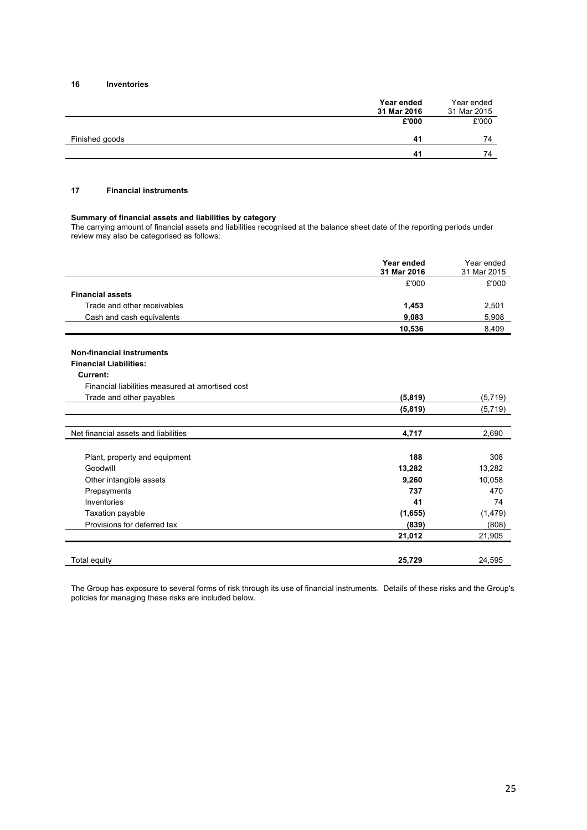## **16 Inventories**

|                | Year ended<br>31 Mar 2016 | Year ended<br>31 Mar 2015 |
|----------------|---------------------------|---------------------------|
|                | £'000                     | £'000                     |
| Finished goods | 41                        | 74                        |
|                | 41                        | 74                        |

## **17 Financial instruments**

#### **Summary of financial assets and liabilities by category**

The carrying amount of financial assets and liabilities recognised at the balance sheet date of the reporting periods under review may also be categorised as follows:

|                                                  | Year ended<br>31 Mar 2016 | Year ended<br>31 Mar 2015 |
|--------------------------------------------------|---------------------------|---------------------------|
|                                                  | £'000                     | £'000                     |
| <b>Financial assets</b>                          |                           |                           |
| Trade and other receivables                      | 1,453                     | 2,501                     |
| Cash and cash equivalents                        | 9,083                     | 5,908                     |
|                                                  | 10,536                    | 8,409                     |
|                                                  |                           |                           |
| <b>Non-financial instruments</b>                 |                           |                           |
| <b>Financial Liabilities:</b>                    |                           |                           |
| Current:                                         |                           |                           |
| Financial liabilities measured at amortised cost |                           |                           |
| Trade and other payables                         | (5, 819)                  | (5, 719)                  |
|                                                  | (5,819)                   | (5,719)                   |
|                                                  |                           |                           |
| Net financial assets and liabilities             | 4,717                     | 2,690                     |
| Plant, property and equipment                    | 188                       | 308                       |
| Goodwill                                         | 13,282                    | 13,282                    |
| Other intangible assets                          | 9,260                     | 10,058                    |
| Prepayments                                      | 737                       | 470                       |
| Inventories                                      | 41                        | 74                        |
| Taxation payable                                 | (1,655)                   | (1, 479)                  |
| Provisions for deferred tax                      | (839)                     | (808)                     |
|                                                  | 21,012                    | 21,905                    |
|                                                  |                           |                           |
| Total equity                                     | 25,729                    | 24,595                    |

The Group has exposure to several forms of risk through its use of financial instruments. Details of these risks and the Group's policies for managing these risks are included below.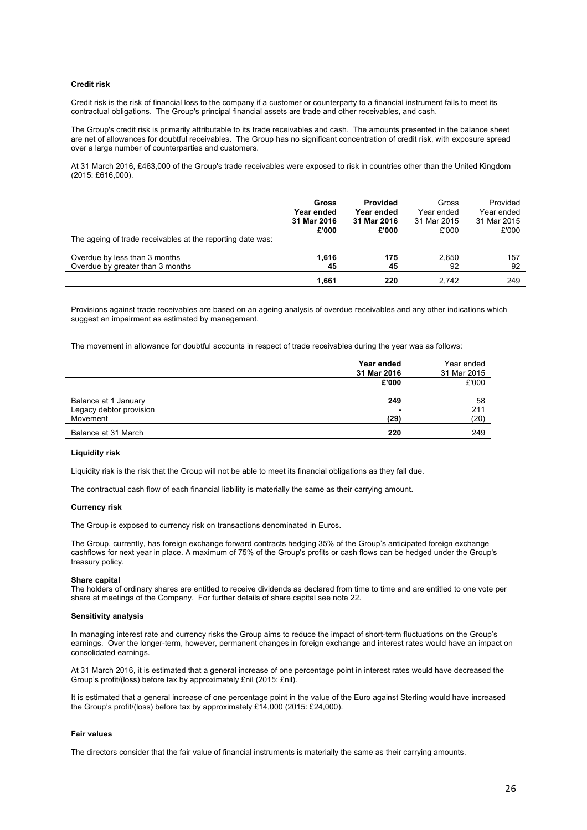## **Credit risk**

Credit risk is the risk of financial loss to the company if a customer or counterparty to a financial instrument fails to meet its contractual obligations. The Group's principal financial assets are trade and other receivables, and cash.

The Group's credit risk is primarily attributable to its trade receivables and cash. The amounts presented in the balance sheet are net of allowances for doubtful receivables. The Group has no significant concentration of credit risk, with exposure spread over a large number of counterparties and customers.

At 31 March 2016, £463,000 of the Group's trade receivables were exposed to risk in countries other than the United Kingdom (2015: £616,000).

|                                                            | Gross       | <b>Provided</b> | Gross       | Provided    |
|------------------------------------------------------------|-------------|-----------------|-------------|-------------|
|                                                            | Year ended  | Year ended      | Year ended  | Year ended  |
|                                                            | 31 Mar 2016 | 31 Mar 2016     | 31 Mar 2015 | 31 Mar 2015 |
|                                                            | £'000       | £'000           | £'000       | £'000       |
| The ageing of trade receivables at the reporting date was: |             |                 |             |             |
| Overdue by less than 3 months                              | 1.616       | 175             | 2.650       | 157         |
| Overdue by greater than 3 months                           | 45          | 45              | 92          | 92          |
|                                                            | 1.661       | 220             | 2.742       | 249         |

Provisions against trade receivables are based on an ageing analysis of overdue receivables and any other indications which suggest an impairment as estimated by management.

The movement in allowance for doubtful accounts in respect of trade receivables during the year was as follows:

|                         | Year ended  | Year ended  |
|-------------------------|-------------|-------------|
|                         | 31 Mar 2016 | 31 Mar 2015 |
|                         | £'000       | £'000       |
| Balance at 1 January    | 249         | 58          |
| Legacy debtor provision | ٠           | 211         |
| Movement                | (29)        | (20)        |
| Balance at 31 March     | 220         | 249         |

### **Liquidity risk**

Liquidity risk is the risk that the Group will not be able to meet its financial obligations as they fall due.

The contractual cash flow of each financial liability is materially the same as their carrying amount.

#### **Currency risk**

The Group is exposed to currency risk on transactions denominated in Euros.

The Group, currently, has foreign exchange forward contracts hedging 35% of the Group's anticipated foreign exchange cashflows for next year in place. A maximum of 75% of the Group's profits or cash flows can be hedged under the Group's treasury policy.

### **Share capital**

The holders of ordinary shares are entitled to receive dividends as declared from time to time and are entitled to one vote per share at meetings of the Company. For further details of share capital see note 22.

#### **Sensitivity analysis**

In managing interest rate and currency risks the Group aims to reduce the impact of short-term fluctuations on the Group's earnings. Over the longer-term, however, permanent changes in foreign exchange and interest rates would have an impact on consolidated earnings.

At 31 March 2016, it is estimated that a general increase of one percentage point in interest rates would have decreased the Group's profit/(loss) before tax by approximately £nil (2015: £nil).

It is estimated that a general increase of one percentage point in the value of the Euro against Sterling would have increased the Group's profit/(loss) before tax by approximately £14,000 (2015: £24,000).

### **Fair values**

The directors consider that the fair value of financial instruments is materially the same as their carrying amounts.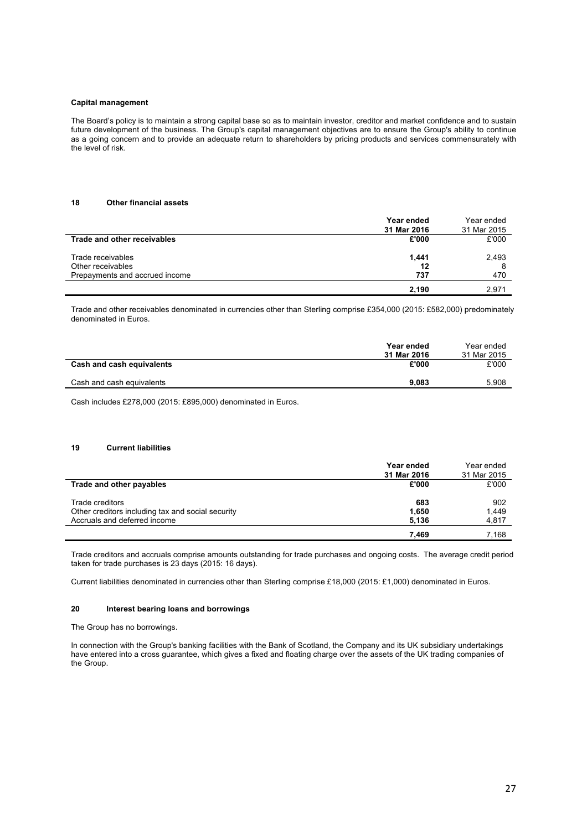### **Capital management**

The Board's policy is to maintain a strong capital base so as to maintain investor, creditor and market confidence and to sustain future development of the business. The Group's capital management objectives are to ensure the Group's ability to continue as a going concern and to provide an adequate return to shareholders by pricing products and services commensurately with the level of risk.

## **18 Other financial assets**

|                                | Year ended<br>31 Mar 2016 | Year ended<br>31 Mar 2015 |
|--------------------------------|---------------------------|---------------------------|
| Trade and other receivables    | £'000                     | £'000                     |
| Trade receivables              | 1,441                     | 2,493                     |
| Other receivables              | 12                        |                           |
| Prepayments and accrued income | 737                       | 470                       |
|                                | 2.190                     | 2.971                     |

Trade and other receivables denominated in currencies other than Sterling comprise £354,000 (2015: £582,000) predominately denominated in Euros.

|                           | Year ended<br>31 Mar 2016 | Year ended<br>31 Mar 2015 |
|---------------------------|---------------------------|---------------------------|
| Cash and cash equivalents | £'000                     | £'000                     |
| Cash and cash equivalents | 9.083                     | 5.908                     |

Cash includes £278,000 (2015: £895,000) denominated in Euros.

## **19 Current liabilities**

|                                                   | Year ended  | Year ended  |
|---------------------------------------------------|-------------|-------------|
|                                                   | 31 Mar 2016 | 31 Mar 2015 |
| Trade and other payables                          | £'000       | £'000       |
| Trade creditors                                   | 683         | 902         |
| Other creditors including tax and social security | 1,650       | 1.449       |
| Accruals and deferred income                      | 5.136       | 4.817       |
|                                                   | 7.469       | 7.168       |

Trade creditors and accruals comprise amounts outstanding for trade purchases and ongoing costs. The average credit period taken for trade purchases is 23 days (2015: 16 days).

Current liabilities denominated in currencies other than Sterling comprise £18,000 (2015: £1,000) denominated in Euros.

## **20 Interest bearing loans and borrowings**

The Group has no borrowings.

In connection with the Group's banking facilities with the Bank of Scotland, the Company and its UK subsidiary undertakings have entered into a cross guarantee, which gives a fixed and floating charge over the assets of the UK trading companies of the Group.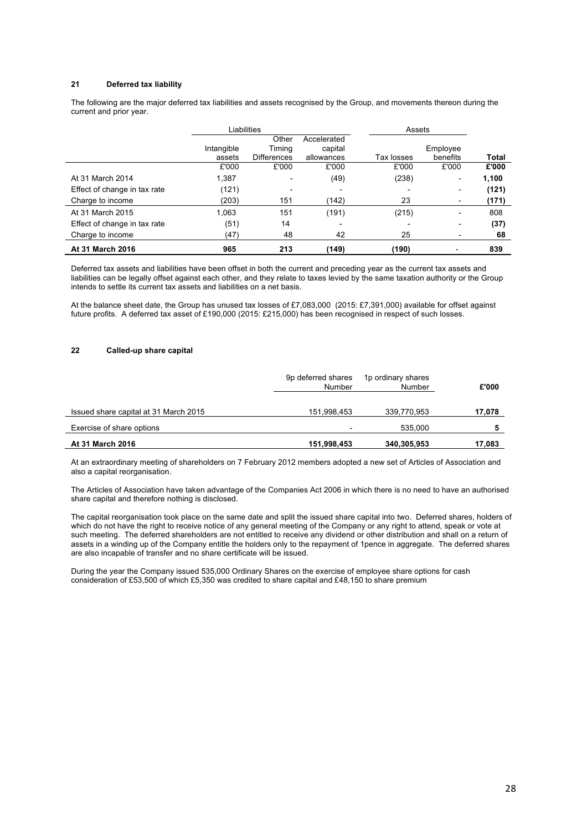## **21 Deferred tax liability**

The following are the major deferred tax liabilities and assets recognised by the Group, and movements thereon during the current and prior year.

|                              | Liabilities |                          |                | Assets     |                          |       |  |
|------------------------------|-------------|--------------------------|----------------|------------|--------------------------|-------|--|
|                              |             | Other                    | Accelerated    |            |                          |       |  |
|                              | Intangible  | Timing                   | capital        |            | Employee                 |       |  |
|                              | assets      | <b>Differences</b>       | allowances     | Tax losses | benefits                 | Total |  |
|                              | £'000       | £'000                    | £'000          | £'000      | £'000                    | £'000 |  |
| At 31 March 2014             | 1,387       | $\overline{\phantom{0}}$ | (49)           | (238)      | $\overline{\phantom{0}}$ | 1,100 |  |
| Effect of change in tax rate | (121)       |                          |                |            | -                        | (121) |  |
| Charge to income             | (203)       | 151                      | (142)          | 23         |                          | (171) |  |
| At 31 March 2015             | 1,063       | 151                      | (191)          | (215)      | $\overline{\phantom{a}}$ | 808   |  |
| Effect of change in tax rate | (51)        | 14                       | $\overline{a}$ |            | -                        | (37)  |  |
| Charge to income             | (47)        | 48                       | 42             | 25         |                          | 68    |  |
| At 31 March 2016             | 965         | 213                      | (149)          | (190)      |                          | 839   |  |

Deferred tax assets and liabilities have been offset in both the current and preceding year as the current tax assets and liabilities can be legally offset against each other, and they relate to taxes levied by the same taxation authority or the Group intends to settle its current tax assets and liabilities on a net basis.

At the balance sheet date, the Group has unused tax losses of £7,083,000 (2015: £7,391,000) available for offset against future profits. A deferred tax asset of £190,000 (2015: £215,000) has been recognised in respect of such losses.

## **22 Called-up share capital**

|                                       | 9p deferred shares<br>Number | 1p ordinary shares<br>Number | £'000  |
|---------------------------------------|------------------------------|------------------------------|--------|
| Issued share capital at 31 March 2015 | 151,998,453                  | 339,770,953                  | 17,078 |
| Exercise of share options             | $\overline{\phantom{0}}$     | 535,000                      |        |
| At 31 March 2016                      | 151,998,453                  | 340,305,953                  | 17,083 |

At an extraordinary meeting of shareholders on 7 February 2012 members adopted a new set of Articles of Association and also a capital reorganisation.

The Articles of Association have taken advantage of the Companies Act 2006 in which there is no need to have an authorised share capital and therefore nothing is disclosed.

The capital reorganisation took place on the same date and split the issued share capital into two. Deferred shares, holders of which do not have the right to receive notice of any general meeting of the Company or any right to attend, speak or vote at such meeting. The deferred shareholders are not entitled to receive any dividend or other distribution and shall on a return of assets in a winding up of the Company entitle the holders only to the repayment of 1pence in aggregate. The deferred shares are also incapable of transfer and no share certificate will be issued.

During the year the Company issued 535,000 Ordinary Shares on the exercise of employee share options for cash consideration of £53,500 of which £5,350 was credited to share capital and £48,150 to share premium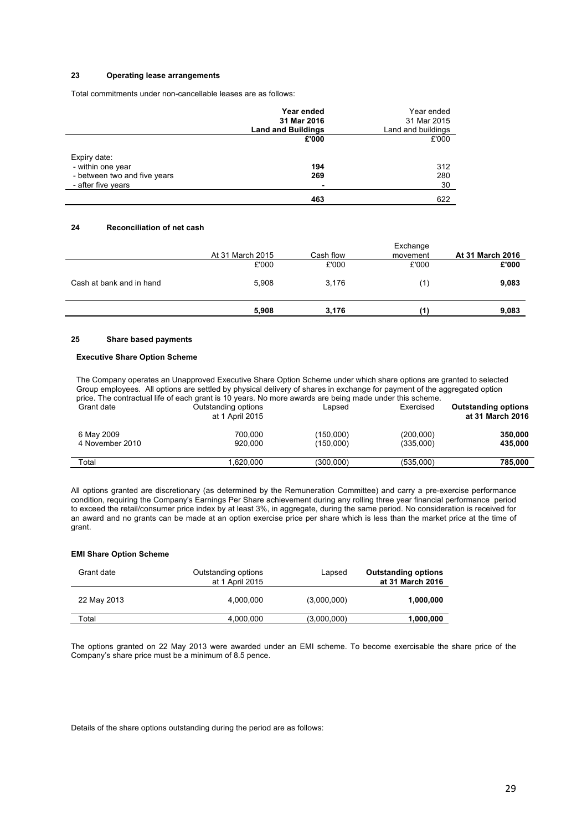## **23 Operating lease arrangements**

Total commitments under non-cancellable leases are as follows:

|                                                                   | Year ended                | Year ended         |
|-------------------------------------------------------------------|---------------------------|--------------------|
|                                                                   | 31 Mar 2016               | 31 Mar 2015        |
|                                                                   | <b>Land and Buildings</b> | Land and buildings |
|                                                                   | £'000                     | £'000              |
| Expiry date:<br>- within one year<br>- between two and five years | 194<br>269                | 312<br>280         |
| - after five years                                                | ۰                         | 30                 |
|                                                                   | 463                       | 622                |

## **24 Reconciliation of net cash**

|                          | 5,908            | 3,176     | 11'                  | 9,083            |
|--------------------------|------------------|-----------|----------------------|------------------|
| Cash at bank and in hand | 5,908            | 3,176     | (1)                  | 9,083            |
|                          | £'000            | £'000     | £'000                | £'000            |
|                          | At 31 March 2015 | Cash flow | Exchange<br>movement | At 31 March 2016 |

## **25 Share based payments**

### **Executive Share Option Scheme**

The Company operates an Unapproved Executive Share Option Scheme under which share options are granted to selected Group employees. All options are settled by physical delivery of shares in exchange for payment of the aggregated option price. The contractual life of each grant is 10 years. No more awards are being made under this scheme.<br>Grant date Coutstanding options Lapsed Exercised Outstanding options at 1 April 2015 Lapsed Exercised **Outstanding options at 31 March 2016** 6 May 2009 700,000 (150,000) (200,000) **350,000** 4 November 2010 920,000 (150,000) (335,000) **435,000**

Total 1,620,000 (300,000) (535,000) **785,000** All options granted are discretionary (as determined by the Remuneration Committee) and carry a pre-exercise performance

condition, requiring the Company's Earnings Per Share achievement during any rolling three year financial performance period to exceed the retail/consumer price index by at least 3%, in aggregate, during the same period. No consideration is received for an award and no grants can be made at an option exercise price per share which is less than the market price at the time of grant.

## **EMI Share Option Scheme**

| Grant date  | Outstanding options<br>at 1 April 2015 | Lapsed      | <b>Outstanding options</b><br>at 31 March 2016 |
|-------------|----------------------------------------|-------------|------------------------------------------------|
| 22 May 2013 | 4.000.000                              | (3,000,000) | 1.000.000                                      |
| Total       | 4,000,000                              | (3,000,000) | 1,000,000                                      |

The options granted on 22 May 2013 were awarded under an EMI scheme. To become exercisable the share price of the Company's share price must be a minimum of 8.5 pence.

Details of the share options outstanding during the period are as follows: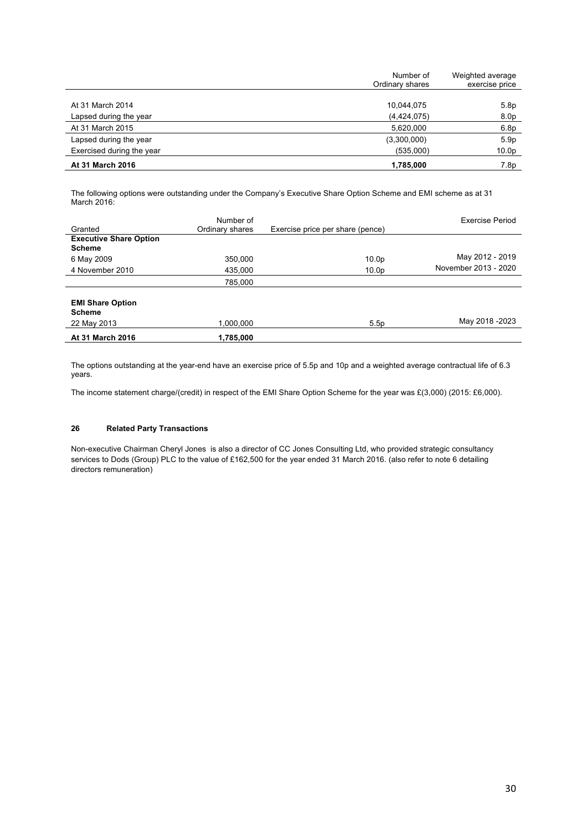|                           | Number of<br>Ordinary shares | Weighted average<br>exercise price |
|---------------------------|------------------------------|------------------------------------|
|                           |                              |                                    |
| At 31 March 2014          | 10,044,075                   | 5.8p                               |
| Lapsed during the year    | (4,424,075)                  | 8.0p                               |
| At 31 March 2015          | 5,620,000                    | 6.8p                               |
| Lapsed during the year    | (3,300,000)                  | 5.9 <sub>p</sub>                   |
| Exercised during the year | (535,000)                    | 10.0p                              |
| At 31 March 2016          | 1,785,000                    | 7.8p                               |

The following options were outstanding under the Company's Executive Share Option Scheme and EMI scheme as at 31 March 2016:

|                                                | Number of       |                                  | Exercise Period      |
|------------------------------------------------|-----------------|----------------------------------|----------------------|
| Granted                                        | Ordinary shares | Exercise price per share (pence) |                      |
| <b>Executive Share Option</b><br><b>Scheme</b> |                 |                                  |                      |
| 6 May 2009                                     | 350,000         | 10.0 <sub>p</sub>                | May 2012 - 2019      |
| 4 November 2010                                | 435,000         | 10.0 <sub>p</sub>                | November 2013 - 2020 |
|                                                | 785,000         |                                  |                      |
| <b>EMI Share Option</b><br><b>Scheme</b>       |                 |                                  |                      |
| 22 May 2013                                    | 1.000.000       | 5.5p                             | May 2018 -2023       |
| At 31 March 2016                               | 1,785,000       |                                  |                      |

The options outstanding at the year-end have an exercise price of 5.5p and 10p and a weighted average contractual life of 6.3 years.

The income statement charge/(credit) in respect of the EMI Share Option Scheme for the year was £(3,000) (2015: £6,000).

## **26 Related Party Transactions**

Non-executive Chairman Cheryl Jones is also a director of CC Jones Consulting Ltd, who provided strategic consultancy services to Dods (Group) PLC to the value of £162,500 for the year ended 31 March 2016. (also refer to note 6 detailing directors remuneration)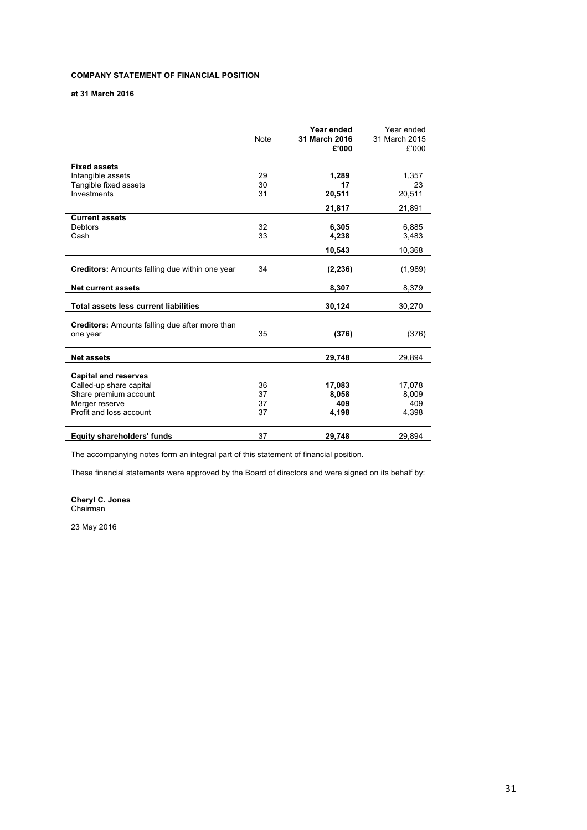## **COMPANY STATEMENT OF FINANCIAL POSITION**

# **at 31 March 2016**

|                                                                   | <b>Note</b> | Year ended<br>31 March 2016 | Year ended<br>31 March 2015 |
|-------------------------------------------------------------------|-------------|-----------------------------|-----------------------------|
|                                                                   |             | £'000                       | £'000                       |
| <b>Fixed assets</b>                                               |             |                             |                             |
| Intangible assets                                                 | 29          | 1,289                       | 1,357                       |
| Tangible fixed assets                                             | 30          | 17                          | 23                          |
| Investments                                                       | 31          | 20,511                      | 20,511                      |
|                                                                   |             | 21,817                      | 21,891                      |
| <b>Current assets</b>                                             |             |                             |                             |
| Debtors                                                           | 32          | 6,305                       | 6,885                       |
| Cash                                                              | 33          | 4,238                       | 3,483                       |
|                                                                   |             | 10,543                      | 10,368                      |
| <b>Creditors:</b> Amounts falling due within one year             | 34          | (2, 236)                    | (1,989)                     |
| <b>Net current assets</b>                                         |             | 8,307                       | 8,379                       |
| <b>Total assets less current liabilities</b>                      |             | 30,124                      | 30,270                      |
| <b>Creditors:</b> Amounts falling due after more than<br>one year | 35          | (376)                       | (376)                       |
| <b>Net assets</b>                                                 |             | 29,748                      | 29,894                      |
| <b>Capital and reserves</b>                                       |             |                             |                             |
| Called-up share capital                                           | 36          | 17,083                      | 17,078                      |
| Share premium account                                             | 37          | 8,058                       | 8,009                       |
| Merger reserve                                                    | 37          | 409                         | 409                         |
| Profit and loss account                                           | 37          | 4,198                       | 4,398                       |
| <b>Equity shareholders' funds</b>                                 | 37          | 29,748                      | 29,894                      |

The accompanying notes form an integral part of this statement of financial position.

These financial statements were approved by the Board of directors and were signed on its behalf by:

**Cheryl C. Jones** Chairman

23 May 2016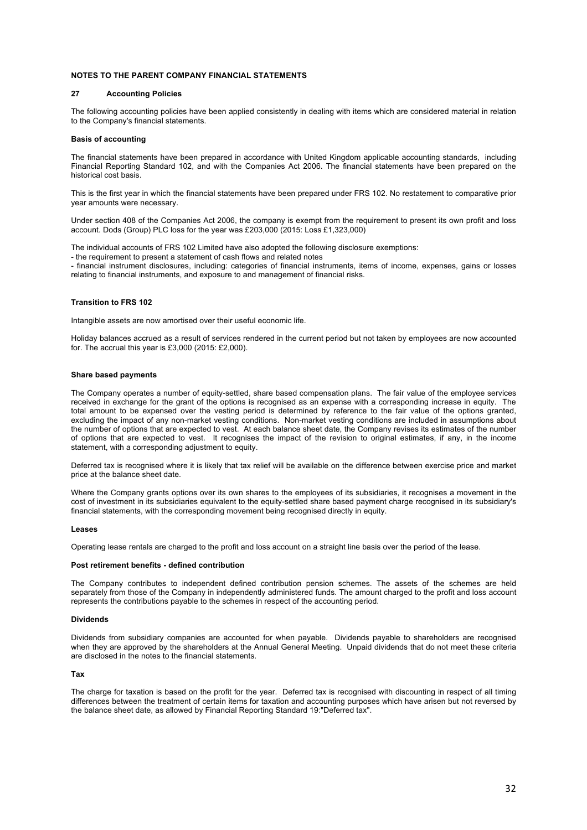## **NOTES TO THE PARENT COMPANY FINANCIAL STATEMENTS**

## **27 Accounting Policies**

The following accounting policies have been applied consistently in dealing with items which are considered material in relation to the Company's financial statements.

#### **Basis of accounting**

The financial statements have been prepared in accordance with United Kingdom applicable accounting standards, including Financial Reporting Standard 102, and with the Companies Act 2006. The financial statements have been prepared on the historical cost basis.

This is the first year in which the financial statements have been prepared under FRS 102. No restatement to comparative prior year amounts were necessary.

Under section 408 of the Companies Act 2006, the company is exempt from the requirement to present its own profit and loss account. Dods (Group) PLC loss for the year was £203,000 (2015: Loss £1,323,000)

The individual accounts of FRS 102 Limited have also adopted the following disclosure exemptions:

- the requirement to present a statement of cash flows and related notes

- financial instrument disclosures, including: categories of financial instruments, items of income, expenses, gains or losses relating to financial instruments, and exposure to and management of financial risks.

### **Transition to FRS 102**

Intangible assets are now amortised over their useful economic life.

Holiday balances accrued as a result of services rendered in the current period but not taken by employees are now accounted for. The accrual this year is £3,000 (2015: £2,000).

### **Share based payments**

The Company operates a number of equity-settled, share based compensation plans. The fair value of the employee services received in exchange for the grant of the options is recognised as an expense with a corresponding increase in equity. The total amount to be expensed over the vesting period is determined by reference to the fair value of the options granted, excluding the impact of any non-market vesting conditions. Non-market vesting conditions are included in assumptions about the number of options that are expected to vest. At each balance sheet date, the Company revises its estimates of the number of options that are expected to vest. It recognises the impact of the revision to original estimates, if any, in the income statement, with a corresponding adjustment to equity.

Deferred tax is recognised where it is likely that tax relief will be available on the difference between exercise price and market price at the balance sheet date.

Where the Company grants options over its own shares to the employees of its subsidiaries, it recognises a movement in the cost of investment in its subsidiaries equivalent to the equity-settled share based payment charge recognised in its subsidiary's financial statements, with the corresponding movement being recognised directly in equity.

### **Leases**

Operating lease rentals are charged to the profit and loss account on a straight line basis over the period of the lease.

#### **Post retirement benefits - defined contribution**

The Company contributes to independent defined contribution pension schemes. The assets of the schemes are held separately from those of the Company in independently administered funds. The amount charged to the profit and loss account represents the contributions payable to the schemes in respect of the accounting period.

### **Dividends**

Dividends from subsidiary companies are accounted for when payable. Dividends payable to shareholders are recognised when they are approved by the shareholders at the Annual General Meeting. Unpaid dividends that do not meet these criteria are disclosed in the notes to the financial statements.

### **Tax**

The charge for taxation is based on the profit for the year. Deferred tax is recognised with discounting in respect of all timing differences between the treatment of certain items for taxation and accounting purposes which have arisen but not reversed by the balance sheet date, as allowed by Financial Reporting Standard 19:"Deferred tax".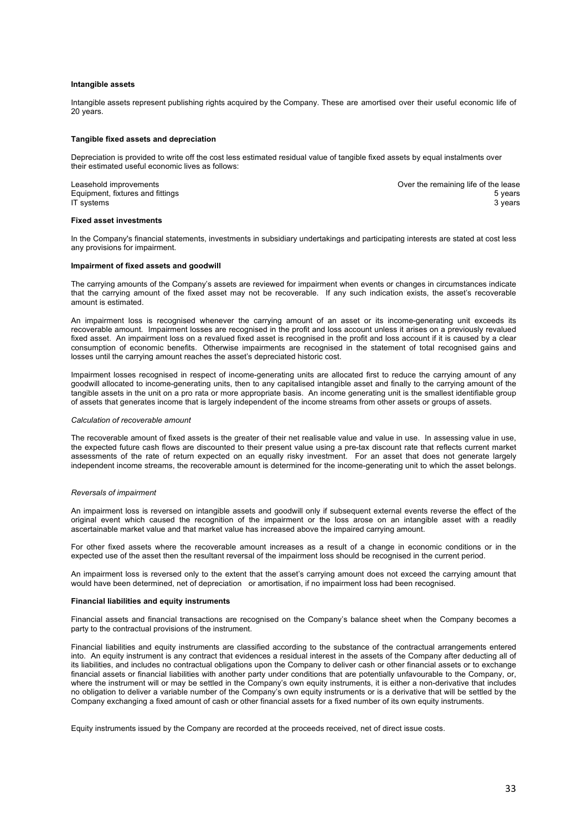## **Intangible assets**

Intangible assets represent publishing rights acquired by the Company. These are amortised over their useful economic life of 20 years.

### **Tangible fixed assets and depreciation**

Depreciation is provided to write off the cost less estimated residual value of tangible fixed assets by equal instalments over their estimated useful economic lives as follows:

Leasehold improvements<br>
Equipment, fixtures and fittings<br>
5 years Equipment, fixtures and fittings 5 years 5 years 5 years 5 years 5 years 5 years 5 years 5 years 5 years 5 years 5 years 5 years 5 years 5 years 5 years 5 years 5 years 5 years 5 years 5 years 5 years 5 years 5 years 5 yea IT systems 3 years 3 years 3 years 3 years 3 years 3 years 3 years 3 years 3 years 3 years 3 years 3 years 3 years 3 years 3 years 3 years 3 years 3 years 3 years 3 years 3 years 3 years 3 years 3 years 3 years 3 years 3 y

#### **Fixed asset investments**

In the Company's financial statements, investments in subsidiary undertakings and participating interests are stated at cost less any provisions for impairment.

### **Impairment of fixed assets and goodwill**

The carrying amounts of the Company's assets are reviewed for impairment when events or changes in circumstances indicate that the carrying amount of the fixed asset may not be recoverable. If any such indication exists, the asset's recoverable amount is estimated.

An impairment loss is recognised whenever the carrying amount of an asset or its income-generating unit exceeds its recoverable amount. Impairment losses are recognised in the profit and loss account unless it arises on a previously revalued fixed asset. An impairment loss on a revalued fixed asset is recognised in the profit and loss account if it is caused by a clear consumption of economic benefits. Otherwise impairments are recognised in the statement of total recognised gains and losses until the carrying amount reaches the asset's depreciated historic cost.

Impairment losses recognised in respect of income-generating units are allocated first to reduce the carrying amount of any goodwill allocated to income-generating units, then to any capitalised intangible asset and finally to the carrying amount of the tangible assets in the unit on a pro rata or more appropriate basis. An income generating unit is the smallest identifiable group of assets that generates income that is largely independent of the income streams from other assets or groups of assets.

#### *Calculation of recoverable amount*

The recoverable amount of fixed assets is the greater of their net realisable value and value in use. In assessing value in use, the expected future cash flows are discounted to their present value using a pre-tax discount rate that reflects current market assessments of the rate of return expected on an equally risky investment. For an asset that does not generate largely independent income streams, the recoverable amount is determined for the income-generating unit to which the asset belongs.

#### *Reversals of impairment*

An impairment loss is reversed on intangible assets and goodwill only if subsequent external events reverse the effect of the original event which caused the recognition of the impairment or the loss arose on an intangible asset with a readily ascertainable market value and that market value has increased above the impaired carrying amount.

For other fixed assets where the recoverable amount increases as a result of a change in economic conditions or in the expected use of the asset then the resultant reversal of the impairment loss should be recognised in the current period.

An impairment loss is reversed only to the extent that the asset's carrying amount does not exceed the carrying amount that would have been determined, net of depreciation or amortisation, if no impairment loss had been recognised.

#### **Financial liabilities and equity instruments**

Financial assets and financial transactions are recognised on the Company's balance sheet when the Company becomes a party to the contractual provisions of the instrument.

Financial liabilities and equity instruments are classified according to the substance of the contractual arrangements entered into. An equity instrument is any contract that evidences a residual interest in the assets of the Company after deducting all of its liabilities, and includes no contractual obligations upon the Company to deliver cash or other financial assets or to exchange financial assets or financial liabilities with another party under conditions that are potentially unfavourable to the Company, or, where the instrument will or may be settled in the Company's own equity instruments, it is either a non-derivative that includes no obligation to deliver a variable number of the Company's own equity instruments or is a derivative that will be settled by the Company exchanging a fixed amount of cash or other financial assets for a fixed number of its own equity instruments.

Equity instruments issued by the Company are recorded at the proceeds received, net of direct issue costs.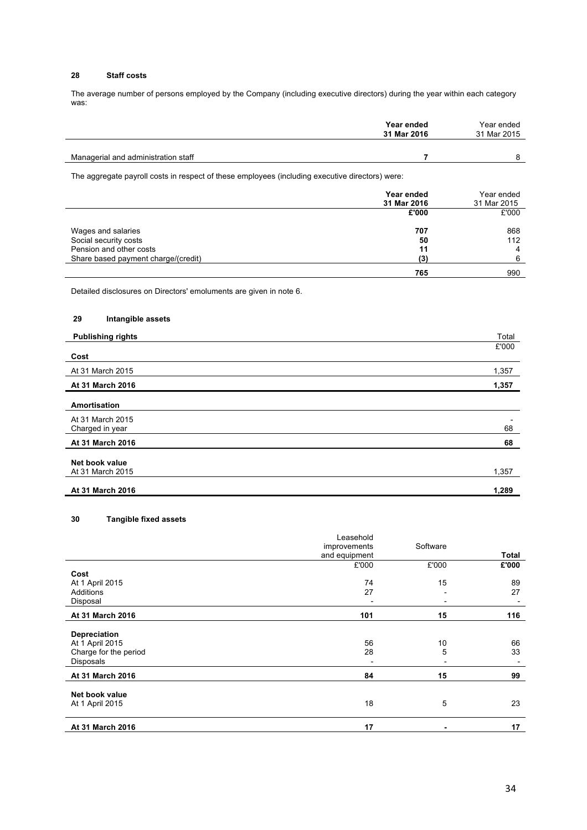## **28 Staff costs**

The average number of persons employed by the Company (including executive directors) during the year within each category was:

|                                     | Year ended  | Year ended  |
|-------------------------------------|-------------|-------------|
|                                     | 31 Mar 2016 | 31 Mar 2015 |
|                                     |             |             |
| Managerial and administration staff |             |             |

The aggregate payroll costs in respect of these employees (including executive directors) were:

|                                     | Year ended<br>31 Mar 2016 | Year ended<br>31 Mar 2015 |
|-------------------------------------|---------------------------|---------------------------|
|                                     | £'000                     | £'000                     |
| Wages and salaries                  | 707                       | 868                       |
| Social security costs               | 50                        | 112                       |
| Pension and other costs             | 11                        | 4                         |
| Share based payment charge/(credit) | (3)                       | 6                         |
|                                     | 765                       | 990                       |

Detailed disclosures on Directors' emoluments are given in note 6.

## **29 Intangible assets**

| <b>Publishing rights</b>            | Total |
|-------------------------------------|-------|
|                                     | £'000 |
| Cost                                |       |
| At 31 March 2015                    | 1,357 |
| At 31 March 2016                    | 1,357 |
| Amortisation                        |       |
| At 31 March 2015<br>Charged in year | 68    |
| At 31 March 2016                    | 68    |
|                                     |       |
| Net book value                      |       |
| At 31 March 2015                    | 1,357 |
| At 31 March 2016                    | 1,289 |

## **30 Tangible fixed assets**

|                       | Leasehold     |          |              |
|-----------------------|---------------|----------|--------------|
|                       | improvements  | Software |              |
|                       | and equipment |          | <b>Total</b> |
|                       | £'000         | £'000    | £'000        |
| Cost                  |               |          |              |
| At 1 April 2015       | 74            | 15       | 89           |
| Additions             | 27            |          | 27           |
| Disposal              |               |          |              |
| At 31 March 2016      | 101           | 15       | 116          |
|                       |               |          |              |
| Depreciation          |               |          |              |
| At 1 April 2015       | 56            | 10       | 66           |
| Charge for the period | 28            | 5        | 33           |
| Disposals             |               |          |              |
| At 31 March 2016      | 84            | 15       | 99           |
|                       |               |          |              |
| Net book value        |               |          |              |
| At 1 April 2015       | 18            | 5        | 23           |
| At 31 March 2016      | 17            |          | 17           |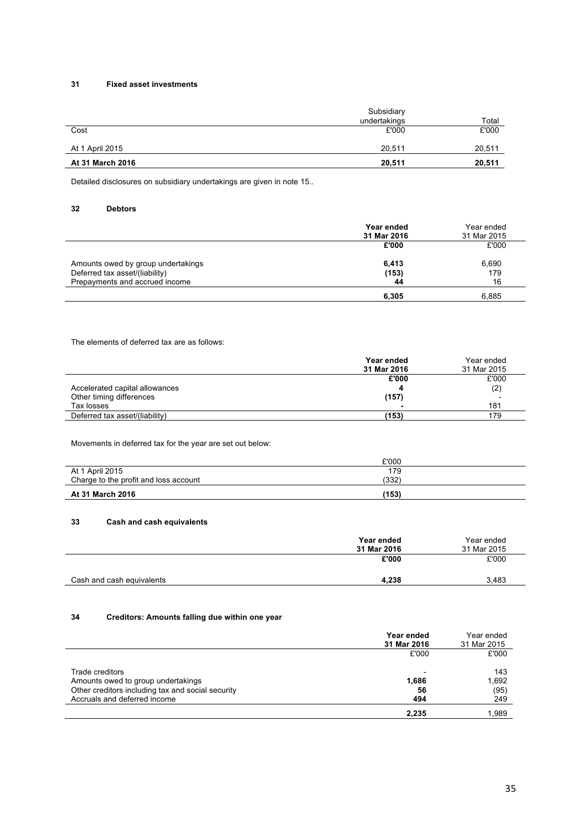# **31 Fixed asset investments**

|                  | Subsidiary   |        |
|------------------|--------------|--------|
|                  | undertakings | Total  |
| Cost             | £'000        | £'000  |
| At 1 April 2015  | 20.511       | 20,511 |
| At 31 March 2016 | 20.511       | 20,511 |

Detailed disclosures on subsidiary undertakings are given in note 15..

## **32 Debtors**

|                                    | Year ended<br>31 Mar 2016 | Year ended<br>31 Mar 2015 |
|------------------------------------|---------------------------|---------------------------|
|                                    | £'000                     | £'000                     |
| Amounts owed by group undertakings | 6,413                     | 6,690                     |
| Deferred tax asset/(liability)     | (153)                     | 179                       |
| Prepayments and accrued income     | 44                        | 16                        |
|                                    | 6,305                     | 6,885                     |

The elements of deferred tax are as follows:

|                                | Year ended  | Year ended               |
|--------------------------------|-------------|--------------------------|
|                                | 31 Mar 2016 | 31 Mar 2015              |
|                                | £'000       | £'000                    |
| Accelerated capital allowances | 4           | (2)                      |
| Other timing differences       | (157)       | $\overline{\phantom{0}}$ |
| Tax losses                     |             | 181                      |
| Deferred tax asset/(liability) | (153)       | 179                      |

Movements in deferred tax for the year are set out below:

|                                       | £'000 |  |
|---------------------------------------|-------|--|
| At 1 April 2015                       | 179   |  |
| Charge to the profit and loss account | (332) |  |
| At 31 March 2016                      | (153) |  |

## **33 Cash and cash equivalents**

|                           | Year ended<br>31 Mar 2016 | Year ended<br>31 Mar 2015 |
|---------------------------|---------------------------|---------------------------|
|                           | £'000                     | £'000                     |
| Cash and cash equivalents | 4.238                     | 3,483                     |

# **34 Creditors: Amounts falling due within one year**

|                                                   | Year ended<br>31 Mar 2016 | Year ended<br>31 Mar 2015 |
|---------------------------------------------------|---------------------------|---------------------------|
|                                                   | £'000                     | £'000                     |
| Trade creditors                                   |                           | 143                       |
| Amounts owed to group undertakings                | 1,686                     | 1,692                     |
| Other creditors including tax and social security | 56                        | (95)                      |
| Accruals and deferred income                      | 494                       | 249                       |
|                                                   | 2,235                     | 1,989                     |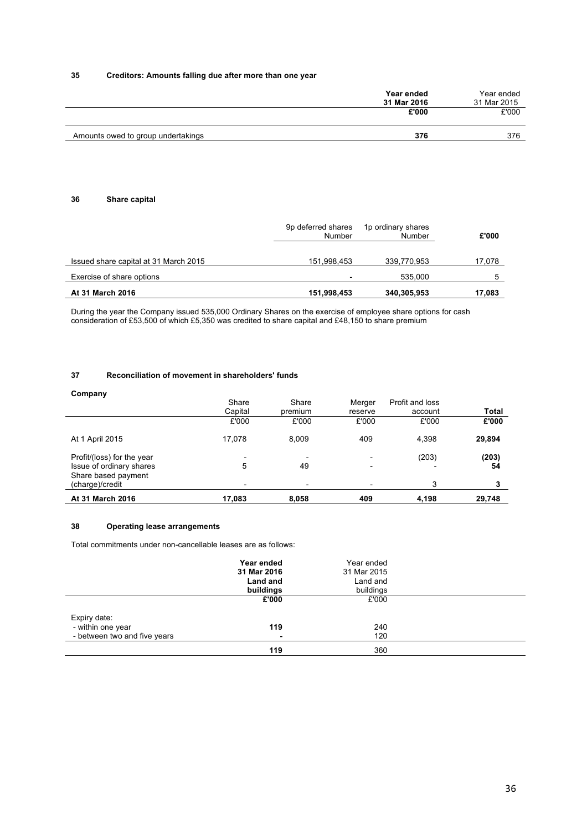## **35 Creditors: Amounts falling due after more than one year**

|                                    | Year ended<br>31 Mar 2016 | Year ended<br>31 Mar 2015 |
|------------------------------------|---------------------------|---------------------------|
|                                    | £'000                     | £'000                     |
| Amounts owed to group undertakings | 376                       | 376                       |

## **36 Share capital**

| <b>At 31 March 2016</b>               | 151,998,453                  | 340,305,953                  | 17,083 |
|---------------------------------------|------------------------------|------------------------------|--------|
| Exercise of share options             | $\overline{\phantom{0}}$     | 535,000                      | 5      |
| Issued share capital at 31 March 2015 | 151.998.453                  | 339.770.953                  | 17,078 |
|                                       | 9p deferred shares<br>Number | 1p ordinary shares<br>Number | £'000  |

During the year the Company issued 535,000 Ordinary Shares on the exercise of employee share options for cash consideration of £53,500 of which £5,350 was credited to share capital and £48,150 to share premium

## **37 Reconciliation of movement in shareholders' funds**

| Company |  |
|---------|--|
|         |  |

|                                        | Share<br>Capital         | Share<br>premium | Merger<br>reserve | Profit and loss<br>account | <b>Total</b> |
|----------------------------------------|--------------------------|------------------|-------------------|----------------------------|--------------|
|                                        | £'000                    | £'000            | £'000             | £'000                      | £'000        |
| At 1 April 2015                        | 17.078                   | 8.009            | 409               | 4,398                      | 29,894       |
| Profit/(loss) for the year             | $\overline{\phantom{0}}$ | -                |                   | (203)                      | (203)        |
| Issue of ordinary shares               | 5                        | 49               |                   | $\overline{\phantom{0}}$   | 54           |
| Share based payment<br>(charge)/credit | $\overline{\phantom{0}}$ |                  |                   | 3                          |              |
| At 31 March 2016                       | 17.083                   | 8,058            | 409               | 4,198                      | 29,748       |

## **38 Operating lease arrangements**

Total commitments under non-cancellable leases are as follows:

|                                                                   | Year ended<br>31 Mar 2016<br><b>Land and</b><br>buildings | Year ended<br>31 Mar 2015<br>Land and<br>buildings |  |
|-------------------------------------------------------------------|-----------------------------------------------------------|----------------------------------------------------|--|
|                                                                   | £'000                                                     | £'000                                              |  |
| Expiry date:<br>- within one year<br>- between two and five years | 119                                                       | 240<br>120                                         |  |
|                                                                   | 119                                                       | 360                                                |  |